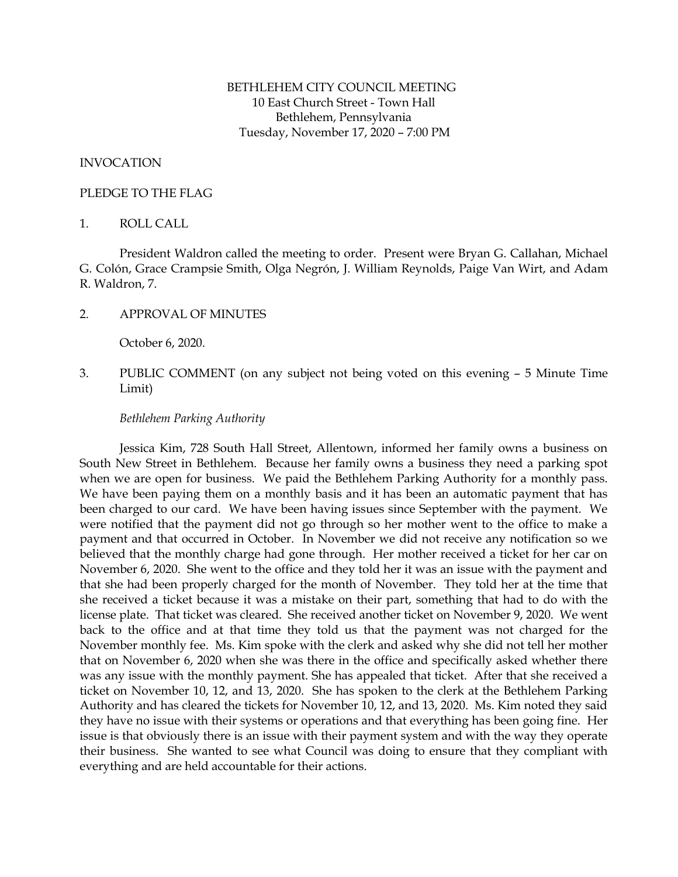# BETHLEHEM CITY COUNCIL MEETING 10 East Church Street - Town Hall Bethlehem, Pennsylvania Tuesday, November 17, 2020 – 7:00 PM

# INVOCATION

## PLEDGE TO THE FLAG

## 1. ROLL CALL

President Waldron called the meeting to order. Present were Bryan G. Callahan, Michael G. Colón, Grace Crampsie Smith, Olga Negrón, J. William Reynolds, Paige Van Wirt, and Adam R. Waldron, 7.

2. APPROVAL OF MINUTES

October 6, 2020.

3. PUBLIC COMMENT (on any subject not being voted on this evening – 5 Minute Time Limit)

# *Bethlehem Parking Authority*

Jessica Kim, 728 South Hall Street, Allentown, informed her family owns a business on South New Street in Bethlehem. Because her family owns a business they need a parking spot when we are open for business. We paid the Bethlehem Parking Authority for a monthly pass. We have been paying them on a monthly basis and it has been an automatic payment that has been charged to our card. We have been having issues since September with the payment. We were notified that the payment did not go through so her mother went to the office to make a payment and that occurred in October. In November we did not receive any notification so we believed that the monthly charge had gone through. Her mother received a ticket for her car on November 6, 2020. She went to the office and they told her it was an issue with the payment and that she had been properly charged for the month of November. They told her at the time that she received a ticket because it was a mistake on their part, something that had to do with the license plate. That ticket was cleared. She received another ticket on November 9, 2020. We went back to the office and at that time they told us that the payment was not charged for the November monthly fee. Ms. Kim spoke with the clerk and asked why she did not tell her mother that on November 6, 2020 when she was there in the office and specifically asked whether there was any issue with the monthly payment. She has appealed that ticket. After that she received a ticket on November 10, 12, and 13, 2020. She has spoken to the clerk at the Bethlehem Parking Authority and has cleared the tickets for November 10, 12, and 13, 2020. Ms. Kim noted they said they have no issue with their systems or operations and that everything has been going fine. Her issue is that obviously there is an issue with their payment system and with the way they operate their business. She wanted to see what Council was doing to ensure that they compliant with everything and are held accountable for their actions.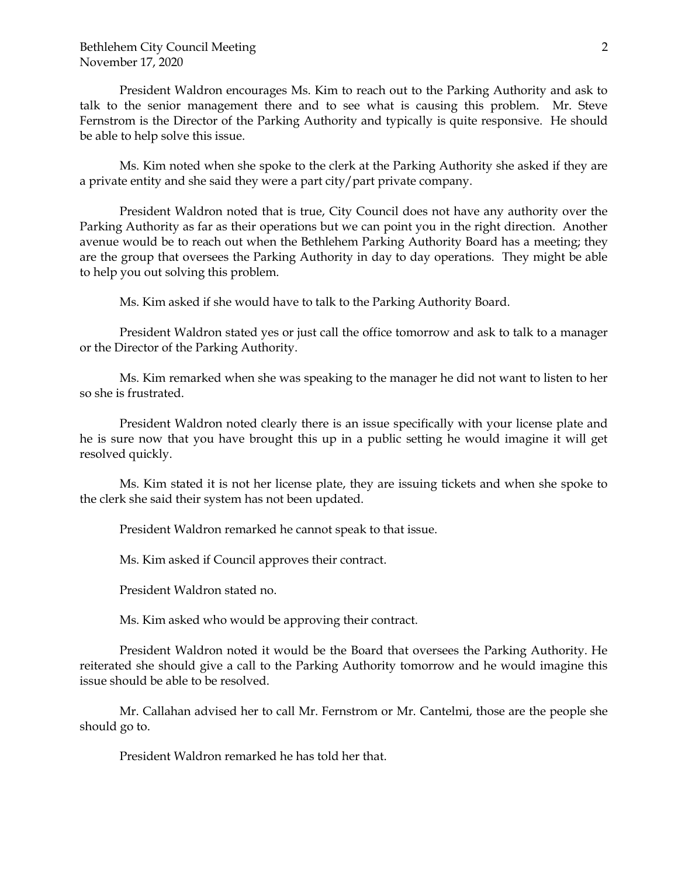President Waldron encourages Ms. Kim to reach out to the Parking Authority and ask to talk to the senior management there and to see what is causing this problem. Mr. Steve Fernstrom is the Director of the Parking Authority and typically is quite responsive. He should be able to help solve this issue.

Ms. Kim noted when she spoke to the clerk at the Parking Authority she asked if they are a private entity and she said they were a part city/part private company.

President Waldron noted that is true, City Council does not have any authority over the Parking Authority as far as their operations but we can point you in the right direction. Another avenue would be to reach out when the Bethlehem Parking Authority Board has a meeting; they are the group that oversees the Parking Authority in day to day operations. They might be able to help you out solving this problem.

Ms. Kim asked if she would have to talk to the Parking Authority Board.

President Waldron stated yes or just call the office tomorrow and ask to talk to a manager or the Director of the Parking Authority.

Ms. Kim remarked when she was speaking to the manager he did not want to listen to her so she is frustrated.

President Waldron noted clearly there is an issue specifically with your license plate and he is sure now that you have brought this up in a public setting he would imagine it will get resolved quickly.

Ms. Kim stated it is not her license plate, they are issuing tickets and when she spoke to the clerk she said their system has not been updated.

President Waldron remarked he cannot speak to that issue.

Ms. Kim asked if Council approves their contract.

President Waldron stated no.

Ms. Kim asked who would be approving their contract.

President Waldron noted it would be the Board that oversees the Parking Authority. He reiterated she should give a call to the Parking Authority tomorrow and he would imagine this issue should be able to be resolved.

Mr. Callahan advised her to call Mr. Fernstrom or Mr. Cantelmi, those are the people she should go to.

President Waldron remarked he has told her that.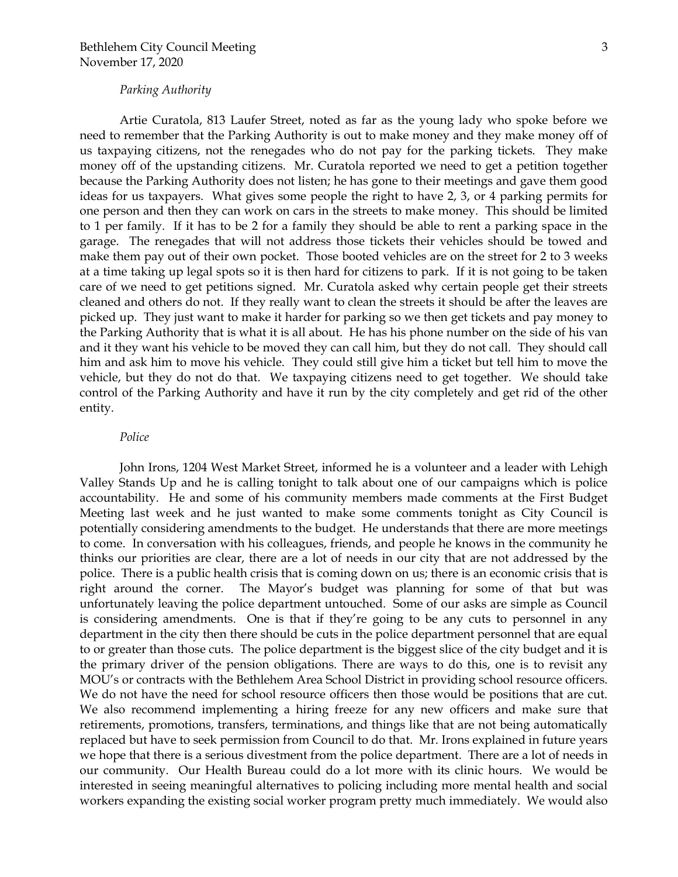## *Parking Authority*

Artie Curatola, 813 Laufer Street, noted as far as the young lady who spoke before we need to remember that the Parking Authority is out to make money and they make money off of us taxpaying citizens, not the renegades who do not pay for the parking tickets. They make money off of the upstanding citizens. Mr. Curatola reported we need to get a petition together because the Parking Authority does not listen; he has gone to their meetings and gave them good ideas for us taxpayers. What gives some people the right to have 2, 3, or 4 parking permits for one person and then they can work on cars in the streets to make money. This should be limited to 1 per family. If it has to be 2 for a family they should be able to rent a parking space in the garage. The renegades that will not address those tickets their vehicles should be towed and make them pay out of their own pocket. Those booted vehicles are on the street for 2 to 3 weeks at a time taking up legal spots so it is then hard for citizens to park. If it is not going to be taken care of we need to get petitions signed. Mr. Curatola asked why certain people get their streets cleaned and others do not. If they really want to clean the streets it should be after the leaves are picked up. They just want to make it harder for parking so we then get tickets and pay money to the Parking Authority that is what it is all about. He has his phone number on the side of his van and it they want his vehicle to be moved they can call him, but they do not call. They should call him and ask him to move his vehicle. They could still give him a ticket but tell him to move the vehicle, but they do not do that. We taxpaying citizens need to get together. We should take control of the Parking Authority and have it run by the city completely and get rid of the other entity.

#### *Police*

John Irons, 1204 West Market Street, informed he is a volunteer and a leader with Lehigh Valley Stands Up and he is calling tonight to talk about one of our campaigns which is police accountability. He and some of his community members made comments at the First Budget Meeting last week and he just wanted to make some comments tonight as City Council is potentially considering amendments to the budget. He understands that there are more meetings to come. In conversation with his colleagues, friends, and people he knows in the community he thinks our priorities are clear, there are a lot of needs in our city that are not addressed by the police. There is a public health crisis that is coming down on us; there is an economic crisis that is right around the corner. The Mayor's budget was planning for some of that but was unfortunately leaving the police department untouched. Some of our asks are simple as Council is considering amendments. One is that if they're going to be any cuts to personnel in any department in the city then there should be cuts in the police department personnel that are equal to or greater than those cuts. The police department is the biggest slice of the city budget and it is the primary driver of the pension obligations. There are ways to do this, one is to revisit any MOU's or contracts with the Bethlehem Area School District in providing school resource officers. We do not have the need for school resource officers then those would be positions that are cut. We also recommend implementing a hiring freeze for any new officers and make sure that retirements, promotions, transfers, terminations, and things like that are not being automatically replaced but have to seek permission from Council to do that. Mr. Irons explained in future years we hope that there is a serious divestment from the police department. There are a lot of needs in our community. Our Health Bureau could do a lot more with its clinic hours. We would be interested in seeing meaningful alternatives to policing including more mental health and social workers expanding the existing social worker program pretty much immediately. We would also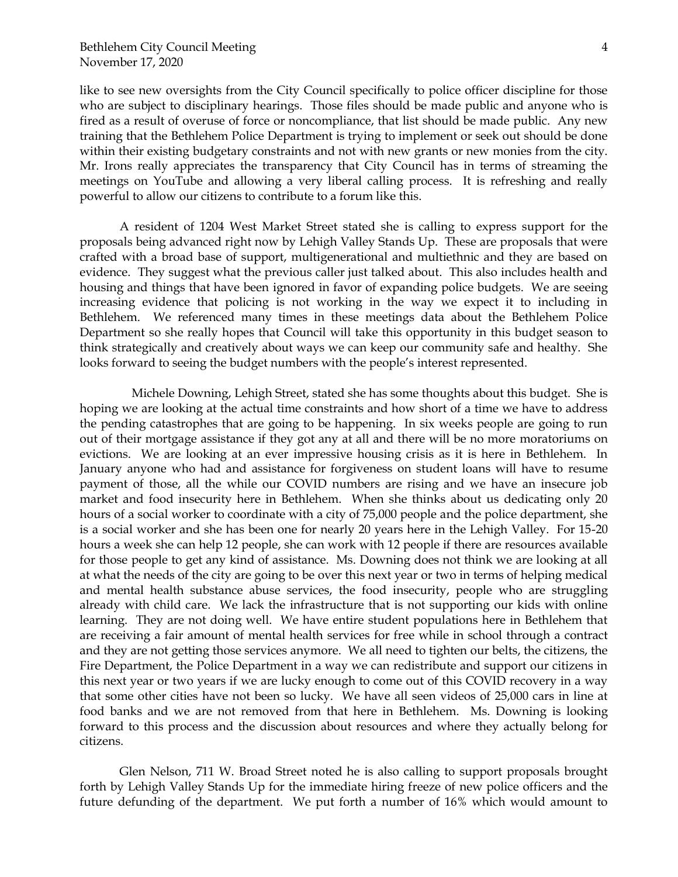like to see new oversights from the City Council specifically to police officer discipline for those who are subject to disciplinary hearings. Those files should be made public and anyone who is fired as a result of overuse of force or noncompliance, that list should be made public. Any new training that the Bethlehem Police Department is trying to implement or seek out should be done within their existing budgetary constraints and not with new grants or new monies from the city. Mr. Irons really appreciates the transparency that City Council has in terms of streaming the meetings on YouTube and allowing a very liberal calling process. It is refreshing and really powerful to allow our citizens to contribute to a forum like this.

A resident of 1204 West Market Street stated she is calling to express support for the proposals being advanced right now by Lehigh Valley Stands Up. These are proposals that were crafted with a broad base of support, multigenerational and multiethnic and they are based on evidence. They suggest what the previous caller just talked about. This also includes health and housing and things that have been ignored in favor of expanding police budgets. We are seeing increasing evidence that policing is not working in the way we expect it to including in Bethlehem. We referenced many times in these meetings data about the Bethlehem Police Department so she really hopes that Council will take this opportunity in this budget season to think strategically and creatively about ways we can keep our community safe and healthy. She looks forward to seeing the budget numbers with the people's interest represented.

 Michele Downing, Lehigh Street, stated she has some thoughts about this budget. She is hoping we are looking at the actual time constraints and how short of a time we have to address the pending catastrophes that are going to be happening. In six weeks people are going to run out of their mortgage assistance if they got any at all and there will be no more moratoriums on evictions. We are looking at an ever impressive housing crisis as it is here in Bethlehem. In January anyone who had and assistance for forgiveness on student loans will have to resume payment of those, all the while our COVID numbers are rising and we have an insecure job market and food insecurity here in Bethlehem. When she thinks about us dedicating only 20 hours of a social worker to coordinate with a city of 75,000 people and the police department, she is a social worker and she has been one for nearly 20 years here in the Lehigh Valley. For 15-20 hours a week she can help 12 people, she can work with 12 people if there are resources available for those people to get any kind of assistance. Ms. Downing does not think we are looking at all at what the needs of the city are going to be over this next year or two in terms of helping medical and mental health substance abuse services, the food insecurity, people who are struggling already with child care. We lack the infrastructure that is not supporting our kids with online learning. They are not doing well. We have entire student populations here in Bethlehem that are receiving a fair amount of mental health services for free while in school through a contract and they are not getting those services anymore. We all need to tighten our belts, the citizens, the Fire Department, the Police Department in a way we can redistribute and support our citizens in this next year or two years if we are lucky enough to come out of this COVID recovery in a way that some other cities have not been so lucky. We have all seen videos of 25,000 cars in line at food banks and we are not removed from that here in Bethlehem. Ms. Downing is looking forward to this process and the discussion about resources and where they actually belong for citizens.

Glen Nelson, 711 W. Broad Street noted he is also calling to support proposals brought forth by Lehigh Valley Stands Up for the immediate hiring freeze of new police officers and the future defunding of the department. We put forth a number of 16% which would amount to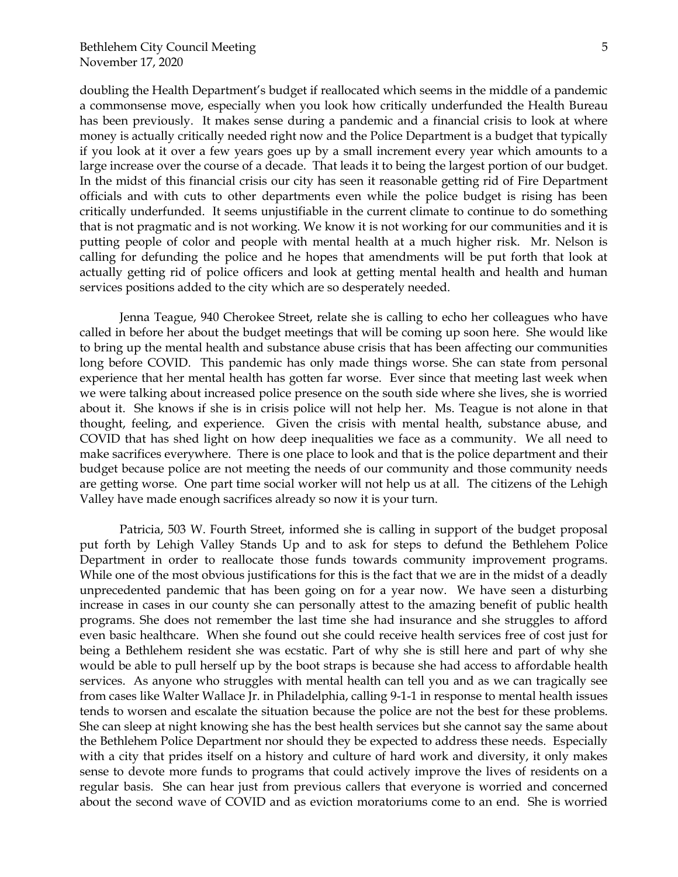doubling the Health Department's budget if reallocated which seems in the middle of a pandemic a commonsense move, especially when you look how critically underfunded the Health Bureau has been previously. It makes sense during a pandemic and a financial crisis to look at where money is actually critically needed right now and the Police Department is a budget that typically if you look at it over a few years goes up by a small increment every year which amounts to a large increase over the course of a decade. That leads it to being the largest portion of our budget. In the midst of this financial crisis our city has seen it reasonable getting rid of Fire Department officials and with cuts to other departments even while the police budget is rising has been critically underfunded. It seems unjustifiable in the current climate to continue to do something that is not pragmatic and is not working. We know it is not working for our communities and it is putting people of color and people with mental health at a much higher risk. Mr. Nelson is calling for defunding the police and he hopes that amendments will be put forth that look at actually getting rid of police officers and look at getting mental health and health and human services positions added to the city which are so desperately needed.

Jenna Teague, 940 Cherokee Street, relate she is calling to echo her colleagues who have called in before her about the budget meetings that will be coming up soon here. She would like to bring up the mental health and substance abuse crisis that has been affecting our communities long before COVID. This pandemic has only made things worse. She can state from personal experience that her mental health has gotten far worse. Ever since that meeting last week when we were talking about increased police presence on the south side where she lives, she is worried about it. She knows if she is in crisis police will not help her. Ms. Teague is not alone in that thought, feeling, and experience. Given the crisis with mental health, substance abuse, and COVID that has shed light on how deep inequalities we face as a community. We all need to make sacrifices everywhere. There is one place to look and that is the police department and their budget because police are not meeting the needs of our community and those community needs are getting worse. One part time social worker will not help us at all. The citizens of the Lehigh Valley have made enough sacrifices already so now it is your turn.

Patricia, 503 W. Fourth Street, informed she is calling in support of the budget proposal put forth by Lehigh Valley Stands Up and to ask for steps to defund the Bethlehem Police Department in order to reallocate those funds towards community improvement programs. While one of the most obvious justifications for this is the fact that we are in the midst of a deadly unprecedented pandemic that has been going on for a year now. We have seen a disturbing increase in cases in our county she can personally attest to the amazing benefit of public health programs. She does not remember the last time she had insurance and she struggles to afford even basic healthcare. When she found out she could receive health services free of cost just for being a Bethlehem resident she was ecstatic. Part of why she is still here and part of why she would be able to pull herself up by the boot straps is because she had access to affordable health services. As anyone who struggles with mental health can tell you and as we can tragically see from cases like Walter Wallace Jr. in Philadelphia, calling 9-1-1 in response to mental health issues tends to worsen and escalate the situation because the police are not the best for these problems. She can sleep at night knowing she has the best health services but she cannot say the same about the Bethlehem Police Department nor should they be expected to address these needs. Especially with a city that prides itself on a history and culture of hard work and diversity, it only makes sense to devote more funds to programs that could actively improve the lives of residents on a regular basis. She can hear just from previous callers that everyone is worried and concerned about the second wave of COVID and as eviction moratoriums come to an end. She is worried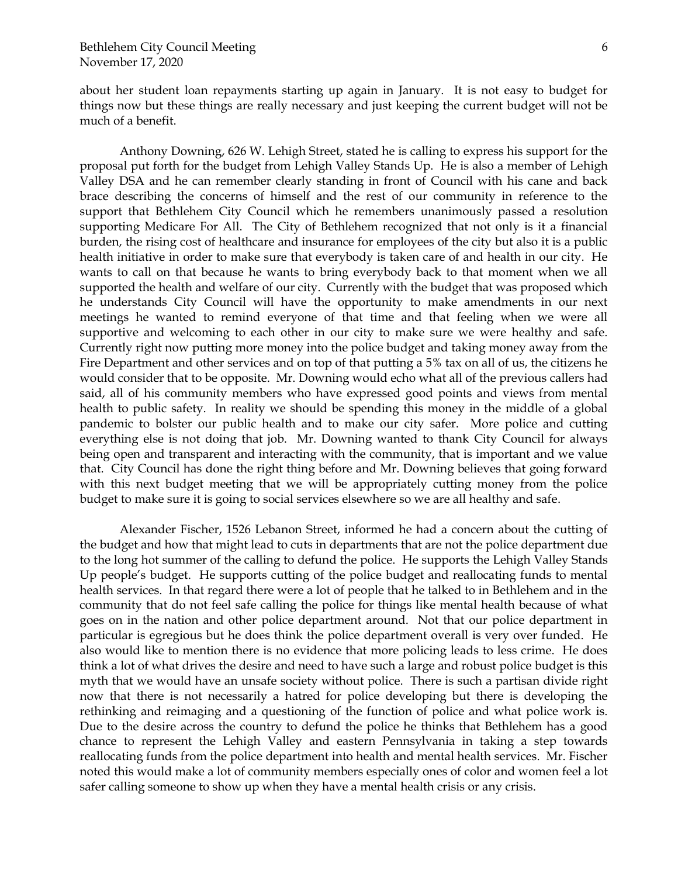about her student loan repayments starting up again in January. It is not easy to budget for things now but these things are really necessary and just keeping the current budget will not be much of a benefit.

Anthony Downing, 626 W. Lehigh Street, stated he is calling to express his support for the proposal put forth for the budget from Lehigh Valley Stands Up. He is also a member of Lehigh Valley DSA and he can remember clearly standing in front of Council with his cane and back brace describing the concerns of himself and the rest of our community in reference to the support that Bethlehem City Council which he remembers unanimously passed a resolution supporting Medicare For All. The City of Bethlehem recognized that not only is it a financial burden, the rising cost of healthcare and insurance for employees of the city but also it is a public health initiative in order to make sure that everybody is taken care of and health in our city. He wants to call on that because he wants to bring everybody back to that moment when we all supported the health and welfare of our city. Currently with the budget that was proposed which he understands City Council will have the opportunity to make amendments in our next meetings he wanted to remind everyone of that time and that feeling when we were all supportive and welcoming to each other in our city to make sure we were healthy and safe. Currently right now putting more money into the police budget and taking money away from the Fire Department and other services and on top of that putting a 5% tax on all of us, the citizens he would consider that to be opposite. Mr. Downing would echo what all of the previous callers had said, all of his community members who have expressed good points and views from mental health to public safety. In reality we should be spending this money in the middle of a global pandemic to bolster our public health and to make our city safer. More police and cutting everything else is not doing that job. Mr. Downing wanted to thank City Council for always being open and transparent and interacting with the community, that is important and we value that. City Council has done the right thing before and Mr. Downing believes that going forward with this next budget meeting that we will be appropriately cutting money from the police budget to make sure it is going to social services elsewhere so we are all healthy and safe.

Alexander Fischer, 1526 Lebanon Street, informed he had a concern about the cutting of the budget and how that might lead to cuts in departments that are not the police department due to the long hot summer of the calling to defund the police. He supports the Lehigh Valley Stands Up people's budget. He supports cutting of the police budget and reallocating funds to mental health services. In that regard there were a lot of people that he talked to in Bethlehem and in the community that do not feel safe calling the police for things like mental health because of what goes on in the nation and other police department around. Not that our police department in particular is egregious but he does think the police department overall is very over funded. He also would like to mention there is no evidence that more policing leads to less crime. He does think a lot of what drives the desire and need to have such a large and robust police budget is this myth that we would have an unsafe society without police. There is such a partisan divide right now that there is not necessarily a hatred for police developing but there is developing the rethinking and reimaging and a questioning of the function of police and what police work is. Due to the desire across the country to defund the police he thinks that Bethlehem has a good chance to represent the Lehigh Valley and eastern Pennsylvania in taking a step towards reallocating funds from the police department into health and mental health services. Mr. Fischer noted this would make a lot of community members especially ones of color and women feel a lot safer calling someone to show up when they have a mental health crisis or any crisis.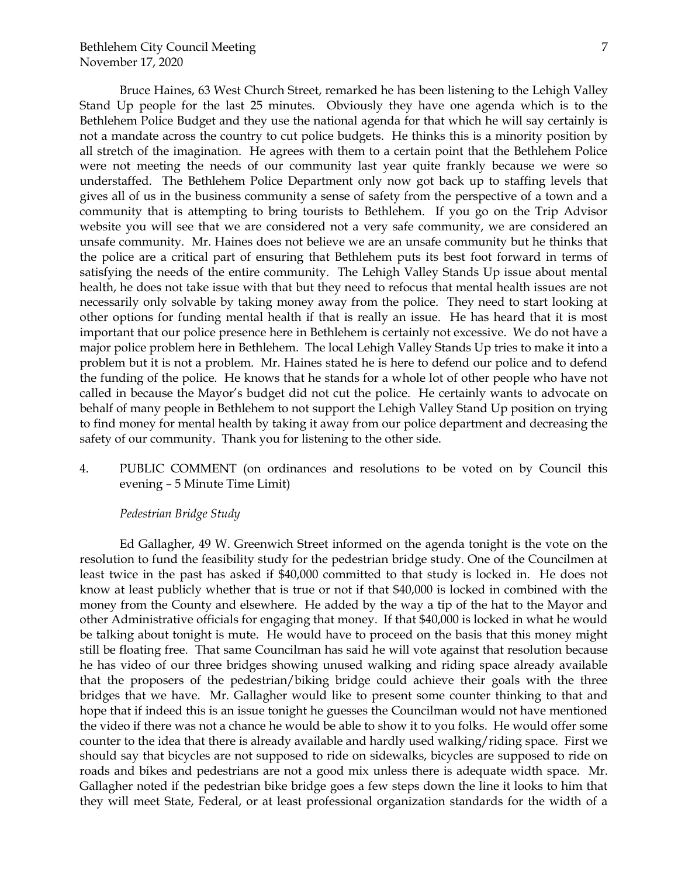Bruce Haines, 63 West Church Street, remarked he has been listening to the Lehigh Valley Stand Up people for the last 25 minutes. Obviously they have one agenda which is to the Bethlehem Police Budget and they use the national agenda for that which he will say certainly is not a mandate across the country to cut police budgets. He thinks this is a minority position by all stretch of the imagination. He agrees with them to a certain point that the Bethlehem Police were not meeting the needs of our community last year quite frankly because we were so understaffed. The Bethlehem Police Department only now got back up to staffing levels that gives all of us in the business community a sense of safety from the perspective of a town and a community that is attempting to bring tourists to Bethlehem. If you go on the Trip Advisor website you will see that we are considered not a very safe community, we are considered an unsafe community. Mr. Haines does not believe we are an unsafe community but he thinks that the police are a critical part of ensuring that Bethlehem puts its best foot forward in terms of satisfying the needs of the entire community. The Lehigh Valley Stands Up issue about mental health, he does not take issue with that but they need to refocus that mental health issues are not necessarily only solvable by taking money away from the police. They need to start looking at other options for funding mental health if that is really an issue. He has heard that it is most important that our police presence here in Bethlehem is certainly not excessive. We do not have a major police problem here in Bethlehem. The local Lehigh Valley Stands Up tries to make it into a problem but it is not a problem. Mr. Haines stated he is here to defend our police and to defend the funding of the police. He knows that he stands for a whole lot of other people who have not called in because the Mayor's budget did not cut the police. He certainly wants to advocate on behalf of many people in Bethlehem to not support the Lehigh Valley Stand Up position on trying to find money for mental health by taking it away from our police department and decreasing the safety of our community. Thank you for listening to the other side.

4. PUBLIC COMMENT (on ordinances and resolutions to be voted on by Council this evening – 5 Minute Time Limit)

## *Pedestrian Bridge Study*

Ed Gallagher, 49 W. Greenwich Street informed on the agenda tonight is the vote on the resolution to fund the feasibility study for the pedestrian bridge study. One of the Councilmen at least twice in the past has asked if \$40,000 committed to that study is locked in. He does not know at least publicly whether that is true or not if that \$40,000 is locked in combined with the money from the County and elsewhere. He added by the way a tip of the hat to the Mayor and other Administrative officials for engaging that money. If that \$40,000 is locked in what he would be talking about tonight is mute. He would have to proceed on the basis that this money might still be floating free. That same Councilman has said he will vote against that resolution because he has video of our three bridges showing unused walking and riding space already available that the proposers of the pedestrian/biking bridge could achieve their goals with the three bridges that we have. Mr. Gallagher would like to present some counter thinking to that and hope that if indeed this is an issue tonight he guesses the Councilman would not have mentioned the video if there was not a chance he would be able to show it to you folks. He would offer some counter to the idea that there is already available and hardly used walking/riding space. First we should say that bicycles are not supposed to ride on sidewalks, bicycles are supposed to ride on roads and bikes and pedestrians are not a good mix unless there is adequate width space. Mr. Gallagher noted if the pedestrian bike bridge goes a few steps down the line it looks to him that they will meet State, Federal, or at least professional organization standards for the width of a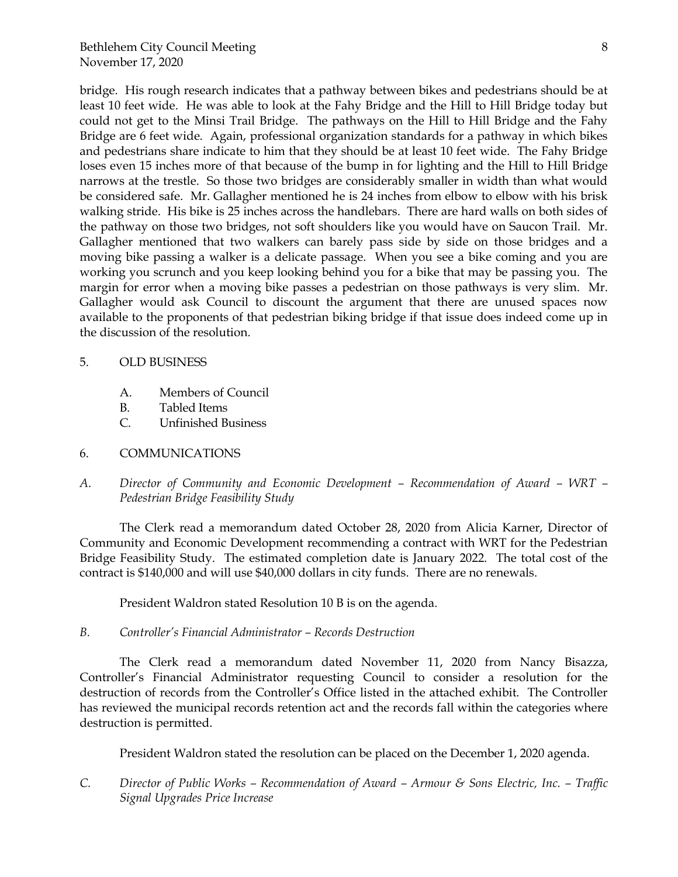bridge. His rough research indicates that a pathway between bikes and pedestrians should be at least 10 feet wide. He was able to look at the Fahy Bridge and the Hill to Hill Bridge today but could not get to the Minsi Trail Bridge. The pathways on the Hill to Hill Bridge and the Fahy Bridge are 6 feet wide. Again, professional organization standards for a pathway in which bikes and pedestrians share indicate to him that they should be at least 10 feet wide. The Fahy Bridge loses even 15 inches more of that because of the bump in for lighting and the Hill to Hill Bridge narrows at the trestle. So those two bridges are considerably smaller in width than what would be considered safe. Mr. Gallagher mentioned he is 24 inches from elbow to elbow with his brisk walking stride. His bike is 25 inches across the handlebars. There are hard walls on both sides of the pathway on those two bridges, not soft shoulders like you would have on Saucon Trail. Mr. Gallagher mentioned that two walkers can barely pass side by side on those bridges and a moving bike passing a walker is a delicate passage. When you see a bike coming and you are working you scrunch and you keep looking behind you for a bike that may be passing you. The margin for error when a moving bike passes a pedestrian on those pathways is very slim. Mr. Gallagher would ask Council to discount the argument that there are unused spaces now available to the proponents of that pedestrian biking bridge if that issue does indeed come up in the discussion of the resolution.

# 5. OLD BUSINESS

- A. Members of Council
- B. Tabled Items
- C. Unfinished Business

# 6. COMMUNICATIONS

*A. Director of Community and Economic Development – Recommendation of Award – WRT – Pedestrian Bridge Feasibility Study*

The Clerk read a memorandum dated October 28, 2020 from Alicia Karner, Director of Community and Economic Development recommending a contract with WRT for the Pedestrian Bridge Feasibility Study. The estimated completion date is January 2022. The total cost of the contract is \$140,000 and will use \$40,000 dollars in city funds. There are no renewals.

President Waldron stated Resolution 10 B is on the agenda.

# *B. Controller's Financial Administrator – Records Destruction*

The Clerk read a memorandum dated November 11, 2020 from Nancy Bisazza, Controller's Financial Administrator requesting Council to consider a resolution for the destruction of records from the Controller's Office listed in the attached exhibit. The Controller has reviewed the municipal records retention act and the records fall within the categories where destruction is permitted.

President Waldron stated the resolution can be placed on the December 1, 2020 agenda.

*C. Director of Public Works – Recommendation of Award – Armour & Sons Electric, Inc. – Traffic Signal Upgrades Price Increase*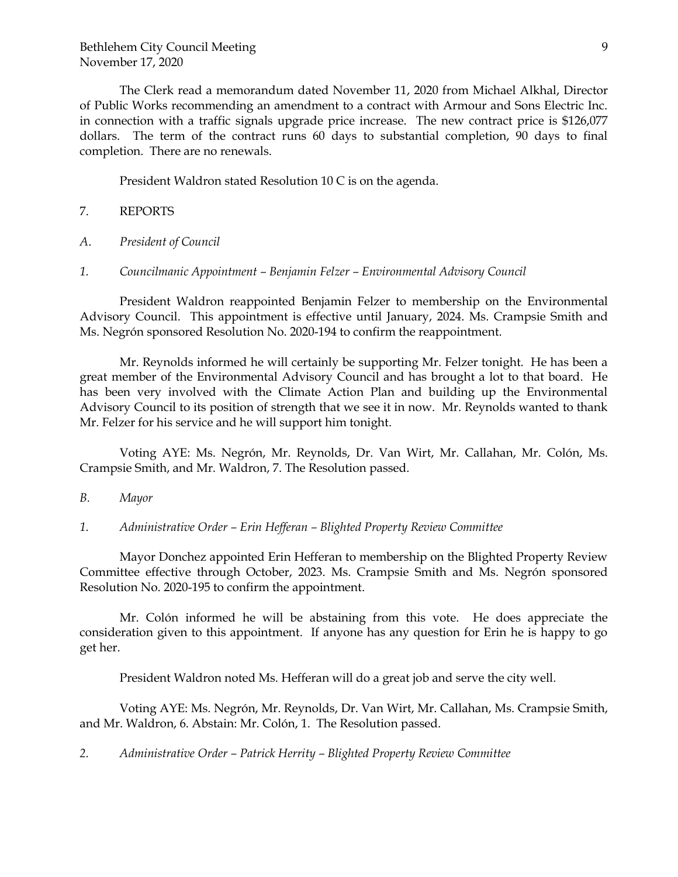The Clerk read a memorandum dated November 11, 2020 from Michael Alkhal, Director of Public Works recommending an amendment to a contract with Armour and Sons Electric Inc. in connection with a traffic signals upgrade price increase. The new contract price is \$126,077 dollars. The term of the contract runs 60 days to substantial completion, 90 days to final completion. There are no renewals.

President Waldron stated Resolution 10 C is on the agenda.

- 7. REPORTS
- *A*. *President of Council*
- *1. Councilmanic Appointment – Benjamin Felzer – Environmental Advisory Council*

President Waldron reappointed Benjamin Felzer to membership on the Environmental Advisory Council. This appointment is effective until January, 2024. Ms. Crampsie Smith and Ms. Negrón sponsored Resolution No. 2020-194 to confirm the reappointment.

Mr. Reynolds informed he will certainly be supporting Mr. Felzer tonight. He has been a great member of the Environmental Advisory Council and has brought a lot to that board. He has been very involved with the Climate Action Plan and building up the Environmental Advisory Council to its position of strength that we see it in now. Mr. Reynolds wanted to thank Mr. Felzer for his service and he will support him tonight.

Voting AYE: Ms. Negrón, Mr. Reynolds, Dr. Van Wirt, Mr. Callahan, Mr. Colón, Ms. Crampsie Smith, and Mr. Waldron, 7. The Resolution passed.

- *B. Mayor*
- *1. Administrative Order – Erin Hefferan – Blighted Property Review Committee*

Mayor Donchez appointed Erin Hefferan to membership on the Blighted Property Review Committee effective through October, 2023. Ms. Crampsie Smith and Ms. Negrón sponsored Resolution No. 2020-195 to confirm the appointment.

Mr. Colón informed he will be abstaining from this vote. He does appreciate the consideration given to this appointment. If anyone has any question for Erin he is happy to go get her.

President Waldron noted Ms. Hefferan will do a great job and serve the city well.

Voting AYE: Ms. Negrón, Mr. Reynolds, Dr. Van Wirt, Mr. Callahan, Ms. Crampsie Smith, and Mr. Waldron, 6. Abstain: Mr. Colón, 1. The Resolution passed.

*2. Administrative Order – Patrick Herrity – Blighted Property Review Committee*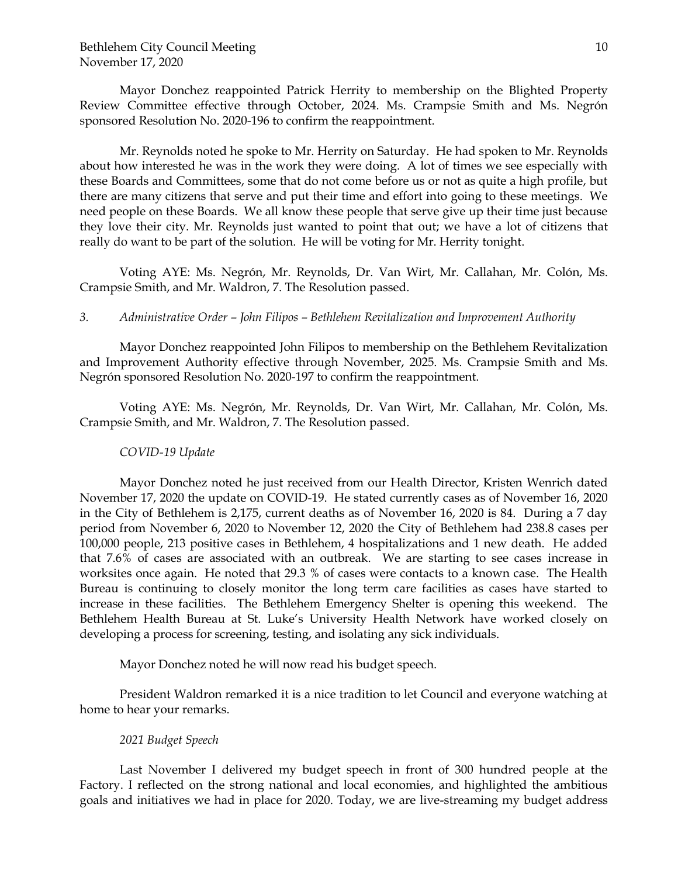Mayor Donchez reappointed Patrick Herrity to membership on the Blighted Property Review Committee effective through October, 2024. Ms. Crampsie Smith and Ms. Negrón sponsored Resolution No. 2020-196 to confirm the reappointment.

Mr. Reynolds noted he spoke to Mr. Herrity on Saturday. He had spoken to Mr. Reynolds about how interested he was in the work they were doing. A lot of times we see especially with these Boards and Committees, some that do not come before us or not as quite a high profile, but there are many citizens that serve and put their time and effort into going to these meetings. We need people on these Boards. We all know these people that serve give up their time just because they love their city. Mr. Reynolds just wanted to point that out; we have a lot of citizens that really do want to be part of the solution. He will be voting for Mr. Herrity tonight.

Voting AYE: Ms. Negrón, Mr. Reynolds, Dr. Van Wirt, Mr. Callahan, Mr. Colón, Ms. Crampsie Smith, and Mr. Waldron, 7. The Resolution passed.

## *3. Administrative Order – John Filipos – Bethlehem Revitalization and Improvement Authority*

Mayor Donchez reappointed John Filipos to membership on the Bethlehem Revitalization and Improvement Authority effective through November, 2025. Ms. Crampsie Smith and Ms. Negrón sponsored Resolution No. 2020-197 to confirm the reappointment.

Voting AYE: Ms. Negrón, Mr. Reynolds, Dr. Van Wirt, Mr. Callahan, Mr. Colón, Ms. Crampsie Smith, and Mr. Waldron, 7. The Resolution passed.

## *COVID-19 Update*

Mayor Donchez noted he just received from our Health Director, Kristen Wenrich dated November 17, 2020 the update on COVID-19. He stated currently cases as of November 16, 2020 in the City of Bethlehem is 2,175, current deaths as of November 16, 2020 is 84. During a 7 day period from November 6, 2020 to November 12, 2020 the City of Bethlehem had 238.8 cases per 100,000 people, 213 positive cases in Bethlehem, 4 hospitalizations and 1 new death. He added that 7.6% of cases are associated with an outbreak. We are starting to see cases increase in worksites once again. He noted that 29.3 % of cases were contacts to a known case. The Health Bureau is continuing to closely monitor the long term care facilities as cases have started to increase in these facilities. The Bethlehem Emergency Shelter is opening this weekend. The Bethlehem Health Bureau at St. Luke's University Health Network have worked closely on developing a process for screening, testing, and isolating any sick individuals.

Mayor Donchez noted he will now read his budget speech.

President Waldron remarked it is a nice tradition to let Council and everyone watching at home to hear your remarks.

## *2021 Budget Speech*

Last November I delivered my budget speech in front of 300 hundred people at the Factory. I reflected on the strong national and local economies, and highlighted the ambitious goals and initiatives we had in place for 2020. Today, we are live-streaming my budget address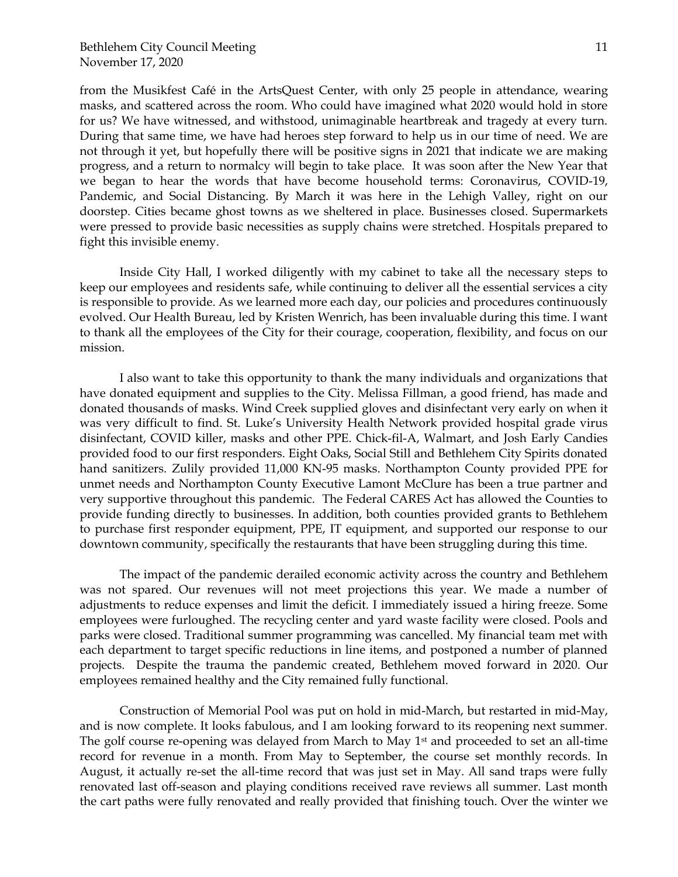from the Musikfest Café in the ArtsQuest Center, with only 25 people in attendance, wearing masks, and scattered across the room. Who could have imagined what 2020 would hold in store for us? We have witnessed, and withstood, unimaginable heartbreak and tragedy at every turn. During that same time, we have had heroes step forward to help us in our time of need. We are not through it yet, but hopefully there will be positive signs in 2021 that indicate we are making progress, and a return to normalcy will begin to take place. It was soon after the New Year that we began to hear the words that have become household terms: Coronavirus, COVID-19, Pandemic, and Social Distancing. By March it was here in the Lehigh Valley, right on our doorstep. Cities became ghost towns as we sheltered in place. Businesses closed. Supermarkets were pressed to provide basic necessities as supply chains were stretched. Hospitals prepared to fight this invisible enemy.

Inside City Hall, I worked diligently with my cabinet to take all the necessary steps to keep our employees and residents safe, while continuing to deliver all the essential services a city is responsible to provide. As we learned more each day, our policies and procedures continuously evolved. Our Health Bureau, led by Kristen Wenrich, has been invaluable during this time. I want to thank all the employees of the City for their courage, cooperation, flexibility, and focus on our mission.

I also want to take this opportunity to thank the many individuals and organizations that have donated equipment and supplies to the City. Melissa Fillman, a good friend, has made and donated thousands of masks. Wind Creek supplied gloves and disinfectant very early on when it was very difficult to find. St. Luke's University Health Network provided hospital grade virus disinfectant, COVID killer, masks and other PPE. Chick-fil-A, Walmart, and Josh Early Candies provided food to our first responders. Eight Oaks, Social Still and Bethlehem City Spirits donated hand sanitizers. Zulily provided 11,000 KN-95 masks. Northampton County provided PPE for unmet needs and Northampton County Executive Lamont McClure has been a true partner and very supportive throughout this pandemic. The Federal CARES Act has allowed the Counties to provide funding directly to businesses. In addition, both counties provided grants to Bethlehem to purchase first responder equipment, PPE, IT equipment, and supported our response to our downtown community, specifically the restaurants that have been struggling during this time.

The impact of the pandemic derailed economic activity across the country and Bethlehem was not spared. Our revenues will not meet projections this year. We made a number of adjustments to reduce expenses and limit the deficit. I immediately issued a hiring freeze. Some employees were furloughed. The recycling center and yard waste facility were closed. Pools and parks were closed. Traditional summer programming was cancelled. My financial team met with each department to target specific reductions in line items, and postponed a number of planned projects. Despite the trauma the pandemic created, Bethlehem moved forward in 2020. Our employees remained healthy and the City remained fully functional.

Construction of Memorial Pool was put on hold in mid-March, but restarted in mid-May, and is now complete. It looks fabulous, and I am looking forward to its reopening next summer. The golf course re-opening was delayed from March to May 1<sup>st</sup> and proceeded to set an all-time record for revenue in a month. From May to September, the course set monthly records. In August, it actually re-set the all-time record that was just set in May. All sand traps were fully renovated last off-season and playing conditions received rave reviews all summer. Last month the cart paths were fully renovated and really provided that finishing touch. Over the winter we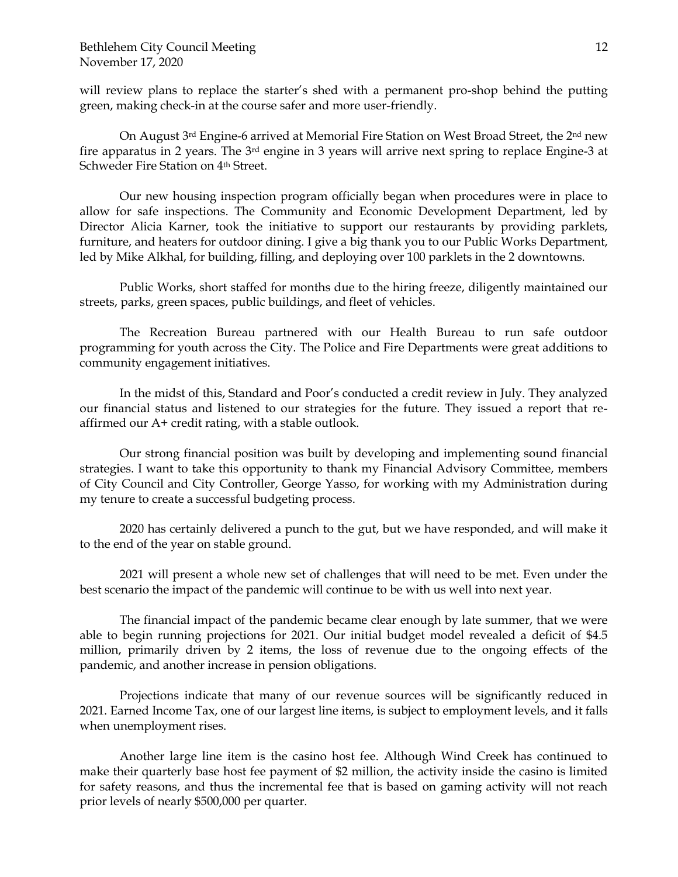will review plans to replace the starter's shed with a permanent pro-shop behind the putting green, making check-in at the course safer and more user-friendly.

On August 3<sup>rd</sup> Engine-6 arrived at Memorial Fire Station on West Broad Street, the 2<sup>nd</sup> new fire apparatus in 2 years. The 3rd engine in 3 years will arrive next spring to replace Engine-3 at Schweder Fire Station on 4th Street.

Our new housing inspection program officially began when procedures were in place to allow for safe inspections. The Community and Economic Development Department, led by Director Alicia Karner, took the initiative to support our restaurants by providing parklets, furniture, and heaters for outdoor dining. I give a big thank you to our Public Works Department, led by Mike Alkhal, for building, filling, and deploying over 100 parklets in the 2 downtowns.

Public Works, short staffed for months due to the hiring freeze, diligently maintained our streets, parks, green spaces, public buildings, and fleet of vehicles.

The Recreation Bureau partnered with our Health Bureau to run safe outdoor programming for youth across the City. The Police and Fire Departments were great additions to community engagement initiatives.

In the midst of this, Standard and Poor's conducted a credit review in July. They analyzed our financial status and listened to our strategies for the future. They issued a report that reaffirmed our A+ credit rating, with a stable outlook.

Our strong financial position was built by developing and implementing sound financial strategies. I want to take this opportunity to thank my Financial Advisory Committee, members of City Council and City Controller, George Yasso, for working with my Administration during my tenure to create a successful budgeting process.

2020 has certainly delivered a punch to the gut, but we have responded, and will make it to the end of the year on stable ground.

2021 will present a whole new set of challenges that will need to be met. Even under the best scenario the impact of the pandemic will continue to be with us well into next year.

The financial impact of the pandemic became clear enough by late summer, that we were able to begin running projections for 2021. Our initial budget model revealed a deficit of \$4.5 million, primarily driven by 2 items, the loss of revenue due to the ongoing effects of the pandemic, and another increase in pension obligations.

Projections indicate that many of our revenue sources will be significantly reduced in 2021. Earned Income Tax, one of our largest line items, is subject to employment levels, and it falls when unemployment rises.

Another large line item is the casino host fee. Although Wind Creek has continued to make their quarterly base host fee payment of \$2 million, the activity inside the casino is limited for safety reasons, and thus the incremental fee that is based on gaming activity will not reach prior levels of nearly \$500,000 per quarter.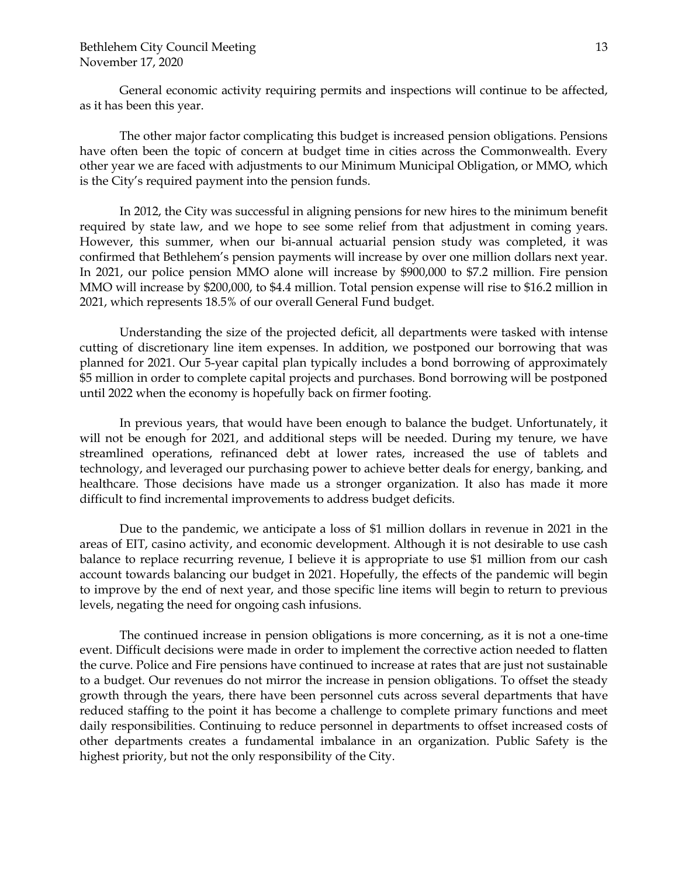General economic activity requiring permits and inspections will continue to be affected, as it has been this year.

The other major factor complicating this budget is increased pension obligations. Pensions have often been the topic of concern at budget time in cities across the Commonwealth. Every other year we are faced with adjustments to our Minimum Municipal Obligation, or MMO, which is the City's required payment into the pension funds.

In 2012, the City was successful in aligning pensions for new hires to the minimum benefit required by state law, and we hope to see some relief from that adjustment in coming years. However, this summer, when our bi-annual actuarial pension study was completed, it was confirmed that Bethlehem's pension payments will increase by over one million dollars next year. In 2021, our police pension MMO alone will increase by \$900,000 to \$7.2 million. Fire pension MMO will increase by \$200,000, to \$4.4 million. Total pension expense will rise to \$16.2 million in 2021, which represents 18.5% of our overall General Fund budget.

Understanding the size of the projected deficit, all departments were tasked with intense cutting of discretionary line item expenses. In addition, we postponed our borrowing that was planned for 2021. Our 5-year capital plan typically includes a bond borrowing of approximately \$5 million in order to complete capital projects and purchases. Bond borrowing will be postponed until 2022 when the economy is hopefully back on firmer footing.

In previous years, that would have been enough to balance the budget. Unfortunately, it will not be enough for 2021, and additional steps will be needed. During my tenure, we have streamlined operations, refinanced debt at lower rates, increased the use of tablets and technology, and leveraged our purchasing power to achieve better deals for energy, banking, and healthcare. Those decisions have made us a stronger organization. It also has made it more difficult to find incremental improvements to address budget deficits.

Due to the pandemic, we anticipate a loss of \$1 million dollars in revenue in 2021 in the areas of EIT, casino activity, and economic development. Although it is not desirable to use cash balance to replace recurring revenue, I believe it is appropriate to use \$1 million from our cash account towards balancing our budget in 2021. Hopefully, the effects of the pandemic will begin to improve by the end of next year, and those specific line items will begin to return to previous levels, negating the need for ongoing cash infusions.

The continued increase in pension obligations is more concerning, as it is not a one-time event. Difficult decisions were made in order to implement the corrective action needed to flatten the curve. Police and Fire pensions have continued to increase at rates that are just not sustainable to a budget. Our revenues do not mirror the increase in pension obligations. To offset the steady growth through the years, there have been personnel cuts across several departments that have reduced staffing to the point it has become a challenge to complete primary functions and meet daily responsibilities. Continuing to reduce personnel in departments to offset increased costs of other departments creates a fundamental imbalance in an organization. Public Safety is the highest priority, but not the only responsibility of the City.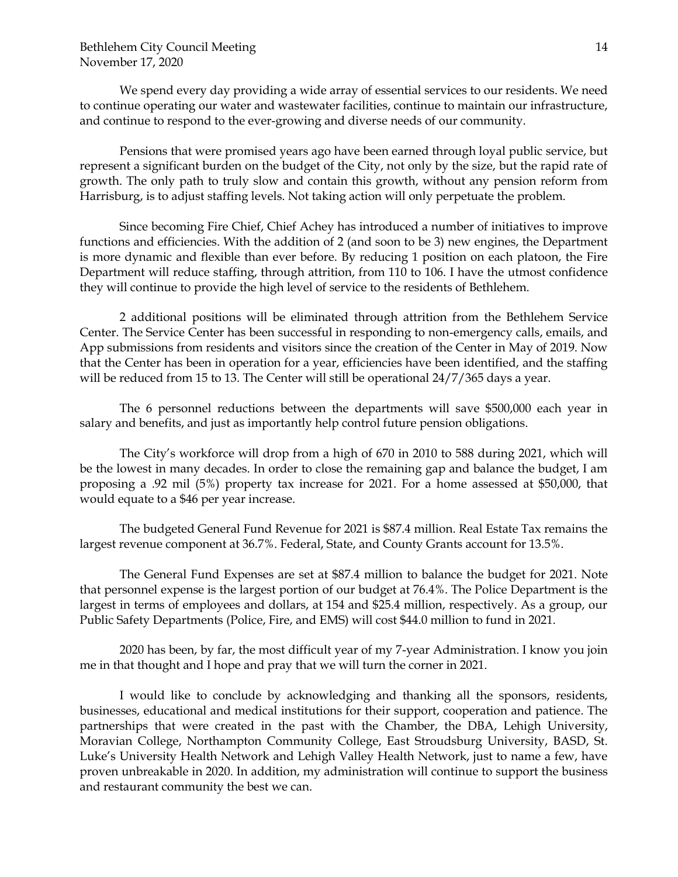We spend every day providing a wide array of essential services to our residents. We need to continue operating our water and wastewater facilities, continue to maintain our infrastructure, and continue to respond to the ever-growing and diverse needs of our community.

Pensions that were promised years ago have been earned through loyal public service, but represent a significant burden on the budget of the City, not only by the size, but the rapid rate of growth. The only path to truly slow and contain this growth, without any pension reform from Harrisburg, is to adjust staffing levels. Not taking action will only perpetuate the problem.

Since becoming Fire Chief, Chief Achey has introduced a number of initiatives to improve functions and efficiencies. With the addition of 2 (and soon to be 3) new engines, the Department is more dynamic and flexible than ever before. By reducing 1 position on each platoon, the Fire Department will reduce staffing, through attrition, from 110 to 106. I have the utmost confidence they will continue to provide the high level of service to the residents of Bethlehem.

2 additional positions will be eliminated through attrition from the Bethlehem Service Center. The Service Center has been successful in responding to non-emergency calls, emails, and App submissions from residents and visitors since the creation of the Center in May of 2019. Now that the Center has been in operation for a year, efficiencies have been identified, and the staffing will be reduced from 15 to 13. The Center will still be operational 24/7/365 days a year.

The 6 personnel reductions between the departments will save \$500,000 each year in salary and benefits, and just as importantly help control future pension obligations.

The City's workforce will drop from a high of 670 in 2010 to 588 during 2021, which will be the lowest in many decades. In order to close the remaining gap and balance the budget, I am proposing a .92 mil (5%) property tax increase for 2021. For a home assessed at \$50,000, that would equate to a \$46 per year increase.

The budgeted General Fund Revenue for 2021 is \$87.4 million. Real Estate Tax remains the largest revenue component at 36.7%. Federal, State, and County Grants account for 13.5%.

The General Fund Expenses are set at \$87.4 million to balance the budget for 2021. Note that personnel expense is the largest portion of our budget at 76.4%. The Police Department is the largest in terms of employees and dollars, at 154 and \$25.4 million, respectively. As a group, our Public Safety Departments (Police, Fire, and EMS) will cost \$44.0 million to fund in 2021.

2020 has been, by far, the most difficult year of my 7-year Administration. I know you join me in that thought and I hope and pray that we will turn the corner in 2021.

I would like to conclude by acknowledging and thanking all the sponsors, residents, businesses, educational and medical institutions for their support, cooperation and patience. The partnerships that were created in the past with the Chamber, the DBA, Lehigh University, Moravian College, Northampton Community College, East Stroudsburg University, BASD, St. Luke's University Health Network and Lehigh Valley Health Network, just to name a few, have proven unbreakable in 2020. In addition, my administration will continue to support the business and restaurant community the best we can.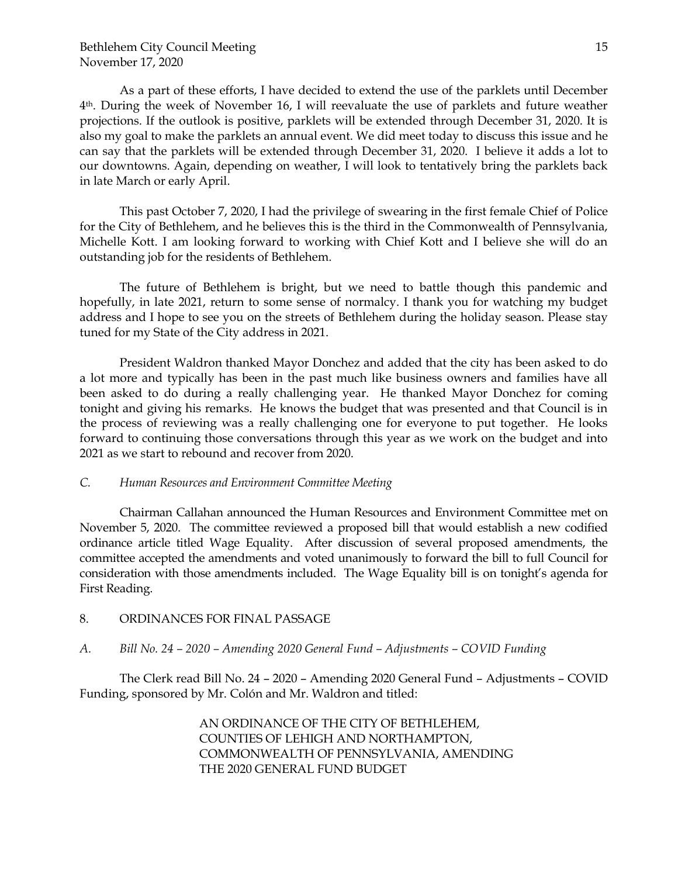As a part of these efforts, I have decided to extend the use of the parklets until December 4th. During the week of November 16, I will reevaluate the use of parklets and future weather projections. If the outlook is positive, parklets will be extended through December 31, 2020. It is also my goal to make the parklets an annual event. We did meet today to discuss this issue and he can say that the parklets will be extended through December 31, 2020. I believe it adds a lot to our downtowns. Again, depending on weather, I will look to tentatively bring the parklets back in late March or early April.

This past October 7, 2020, I had the privilege of swearing in the first female Chief of Police for the City of Bethlehem, and he believes this is the third in the Commonwealth of Pennsylvania, Michelle Kott. I am looking forward to working with Chief Kott and I believe she will do an outstanding job for the residents of Bethlehem.

The future of Bethlehem is bright, but we need to battle though this pandemic and hopefully, in late 2021, return to some sense of normalcy. I thank you for watching my budget address and I hope to see you on the streets of Bethlehem during the holiday season. Please stay tuned for my State of the City address in 2021.

President Waldron thanked Mayor Donchez and added that the city has been asked to do a lot more and typically has been in the past much like business owners and families have all been asked to do during a really challenging year. He thanked Mayor Donchez for coming tonight and giving his remarks. He knows the budget that was presented and that Council is in the process of reviewing was a really challenging one for everyone to put together. He looks forward to continuing those conversations through this year as we work on the budget and into 2021 as we start to rebound and recover from 2020.

## *C. Human Resources and Environment Committee Meeting*

Chairman Callahan announced the Human Resources and Environment Committee met on November 5, 2020. The committee reviewed a proposed bill that would establish a new codified ordinance article titled Wage Equality. After discussion of several proposed amendments, the committee accepted the amendments and voted unanimously to forward the bill to full Council for consideration with those amendments included. The Wage Equality bill is on tonight's agenda for First Reading.

## 8. ORDINANCES FOR FINAL PASSAGE

*A. Bill No. 24 – 2020 – Amending 2020 General Fund – Adjustments – COVID Funding*

The Clerk read Bill No. 24 – 2020 – Amending 2020 General Fund – Adjustments – COVID Funding, sponsored by Mr. Colón and Mr. Waldron and titled:

> AN ORDINANCE OF THE CITY OF BETHLEHEM, COUNTIES OF LEHIGH AND NORTHAMPTON, COMMONWEALTH OF PENNSYLVANIA, AMENDING THE 2020 GENERAL FUND BUDGET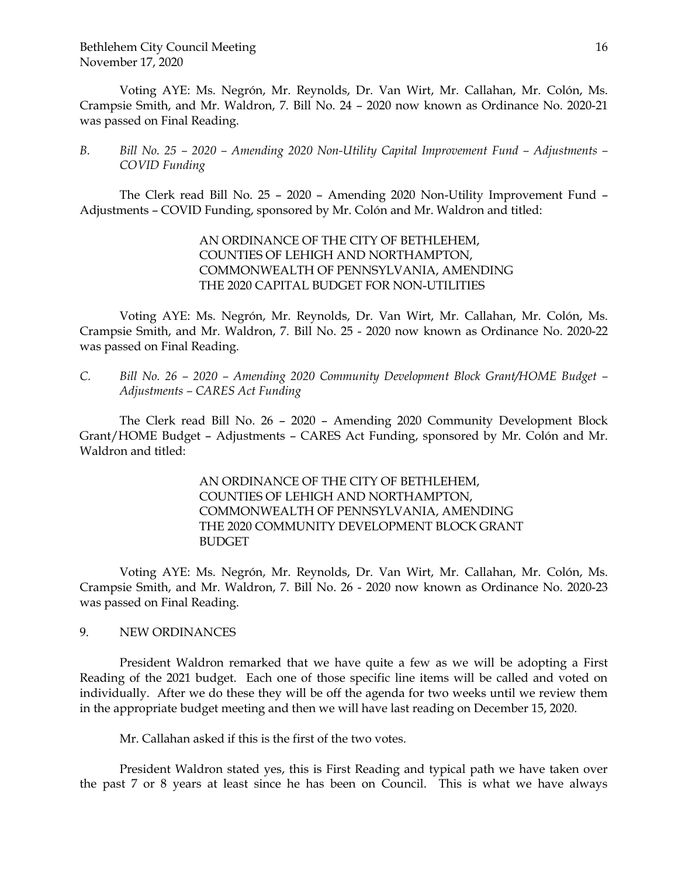Bethlehem City Council Meeting November 17, 2020

Voting AYE: Ms. Negrón, Mr. Reynolds, Dr. Van Wirt, Mr. Callahan, Mr. Colón, Ms. Crampsie Smith, and Mr. Waldron, 7. Bill No. 24 – 2020 now known as Ordinance No. 2020-21 was passed on Final Reading.

*B. Bill No. 25 – 2020 – Amending 2020 Non-Utility Capital Improvement Fund – Adjustments – COVID Funding*

The Clerk read Bill No. 25 – 2020 – Amending 2020 Non-Utility Improvement Fund – Adjustments – COVID Funding, sponsored by Mr. Colón and Mr. Waldron and titled:

> AN ORDINANCE OF THE CITY OF BETHLEHEM, COUNTIES OF LEHIGH AND NORTHAMPTON, COMMONWEALTH OF PENNSYLVANIA, AMENDING THE 2020 CAPITAL BUDGET FOR NON-UTILITIES

Voting AYE: Ms. Negrón, Mr. Reynolds, Dr. Van Wirt, Mr. Callahan, Mr. Colón, Ms. Crampsie Smith, and Mr. Waldron, 7. Bill No. 25 - 2020 now known as Ordinance No. 2020-22 was passed on Final Reading.

*C. Bill No. 26 – 2020 – Amending 2020 Community Development Block Grant/HOME Budget – Adjustments – CARES Act Funding*

The Clerk read Bill No. 26 – 2020 – Amending 2020 Community Development Block Grant/HOME Budget – Adjustments – CARES Act Funding, sponsored by Mr. Colón and Mr. Waldron and titled:

> AN ORDINANCE OF THE CITY OF BETHLEHEM, COUNTIES OF LEHIGH AND NORTHAMPTON, COMMONWEALTH OF PENNSYLVANIA, AMENDING THE 2020 COMMUNITY DEVELOPMENT BLOCK GRANT BUDGET

Voting AYE: Ms. Negrón, Mr. Reynolds, Dr. Van Wirt, Mr. Callahan, Mr. Colón, Ms. Crampsie Smith, and Mr. Waldron, 7. Bill No. 26 - 2020 now known as Ordinance No. 2020-23 was passed on Final Reading.

9. NEW ORDINANCES

President Waldron remarked that we have quite a few as we will be adopting a First Reading of the 2021 budget. Each one of those specific line items will be called and voted on individually. After we do these they will be off the agenda for two weeks until we review them in the appropriate budget meeting and then we will have last reading on December 15, 2020.

Mr. Callahan asked if this is the first of the two votes.

President Waldron stated yes, this is First Reading and typical path we have taken over the past 7 or 8 years at least since he has been on Council. This is what we have always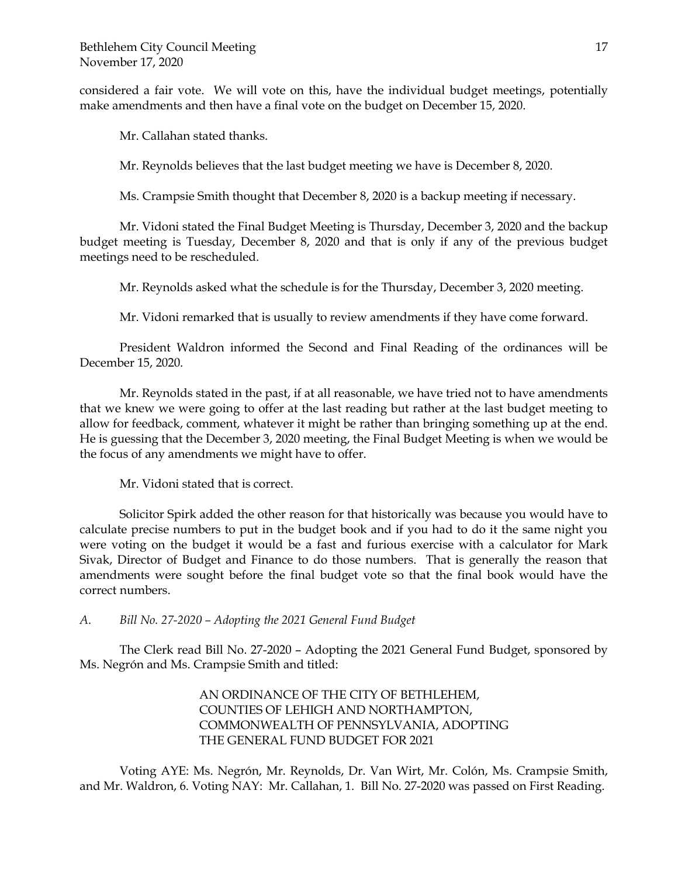considered a fair vote. We will vote on this, have the individual budget meetings, potentially make amendments and then have a final vote on the budget on December 15, 2020.

Mr. Callahan stated thanks.

Mr. Reynolds believes that the last budget meeting we have is December 8, 2020.

Ms. Crampsie Smith thought that December 8, 2020 is a backup meeting if necessary.

Mr. Vidoni stated the Final Budget Meeting is Thursday, December 3, 2020 and the backup budget meeting is Tuesday, December 8, 2020 and that is only if any of the previous budget meetings need to be rescheduled.

Mr. Reynolds asked what the schedule is for the Thursday, December 3, 2020 meeting.

Mr. Vidoni remarked that is usually to review amendments if they have come forward.

President Waldron informed the Second and Final Reading of the ordinances will be December 15, 2020.

Mr. Reynolds stated in the past, if at all reasonable, we have tried not to have amendments that we knew we were going to offer at the last reading but rather at the last budget meeting to allow for feedback, comment, whatever it might be rather than bringing something up at the end. He is guessing that the December 3, 2020 meeting, the Final Budget Meeting is when we would be the focus of any amendments we might have to offer.

Mr. Vidoni stated that is correct.

Solicitor Spirk added the other reason for that historically was because you would have to calculate precise numbers to put in the budget book and if you had to do it the same night you were voting on the budget it would be a fast and furious exercise with a calculator for Mark Sivak, Director of Budget and Finance to do those numbers. That is generally the reason that amendments were sought before the final budget vote so that the final book would have the correct numbers.

*A. Bill No. 27-2020 – Adopting the 2021 General Fund Budget*

The Clerk read Bill No. 27-2020 – Adopting the 2021 General Fund Budget, sponsored by Ms. Negrón and Ms. Crampsie Smith and titled:

> AN ORDINANCE OF THE CITY OF BETHLEHEM, COUNTIES OF LEHIGH AND NORTHAMPTON, COMMONWEALTH OF PENNSYLVANIA, ADOPTING THE GENERAL FUND BUDGET FOR 2021

Voting AYE: Ms. Negrón, Mr. Reynolds, Dr. Van Wirt, Mr. Colón, Ms. Crampsie Smith, and Mr. Waldron, 6. Voting NAY: Mr. Callahan, 1. Bill No. 27-2020 was passed on First Reading.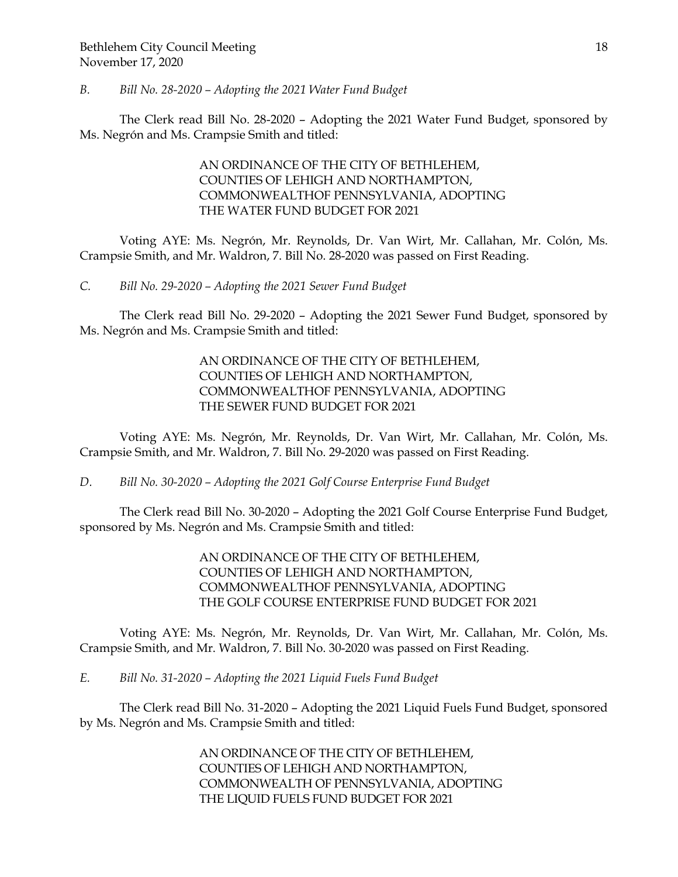## *B. Bill No. 28-2020 – Adopting the 2021 Water Fund Budget*

The Clerk read Bill No. 28-2020 – Adopting the 2021 Water Fund Budget, sponsored by Ms. Negrón and Ms. Crampsie Smith and titled:

# AN ORDINANCE OF THE CITY OF BETHLEHEM, COUNTIES OF LEHIGH AND NORTHAMPTON, COMMONWEALTHOF PENNSYLVANIA, ADOPTING THE WATER FUND BUDGET FOR 2021

Voting AYE: Ms. Negrón, Mr. Reynolds, Dr. Van Wirt, Mr. Callahan, Mr. Colón, Ms. Crampsie Smith, and Mr. Waldron, 7. Bill No. 28-2020 was passed on First Reading.

*C. Bill No. 29-2020 – Adopting the 2021 Sewer Fund Budget*

The Clerk read Bill No. 29-2020 – Adopting the 2021 Sewer Fund Budget, sponsored by Ms. Negrón and Ms. Crampsie Smith and titled:

> AN ORDINANCE OF THE CITY OF BETHLEHEM, COUNTIES OF LEHIGH AND NORTHAMPTON, COMMONWEALTHOF PENNSYLVANIA, ADOPTING THE SEWER FUND BUDGET FOR 2021

Voting AYE: Ms. Negrón, Mr. Reynolds, Dr. Van Wirt, Mr. Callahan, Mr. Colón, Ms. Crampsie Smith, and Mr. Waldron, 7. Bill No. 29-2020 was passed on First Reading.

*D. Bill No. 30-2020 – Adopting the 2021 Golf Course Enterprise Fund Budget*

The Clerk read Bill No. 30-2020 – Adopting the 2021 Golf Course Enterprise Fund Budget, sponsored by Ms. Negrón and Ms. Crampsie Smith and titled:

> AN ORDINANCE OF THE CITY OF BETHLEHEM, COUNTIES OF LEHIGH AND NORTHAMPTON, COMMONWEALTHOF PENNSYLVANIA, ADOPTING THE GOLF COURSE ENTERPRISE FUND BUDGET FOR 2021

Voting AYE: Ms. Negrón, Mr. Reynolds, Dr. Van Wirt, Mr. Callahan, Mr. Colón, Ms. Crampsie Smith, and Mr. Waldron, 7. Bill No. 30-2020 was passed on First Reading.

*E. Bill No. 31-2020 – Adopting the 2021 Liquid Fuels Fund Budget*

The Clerk read Bill No. 31-2020 – Adopting the 2021 Liquid Fuels Fund Budget, sponsored by Ms. Negrón and Ms. Crampsie Smith and titled:

> AN ORDINANCE OF THE CITY OF BETHLEHEM, COUNTIES OF LEHIGH AND NORTHAMPTON, COMMONWEALTH OF PENNSYLVANIA, ADOPTING THE LIQUID FUELS FUND BUDGET FOR 2021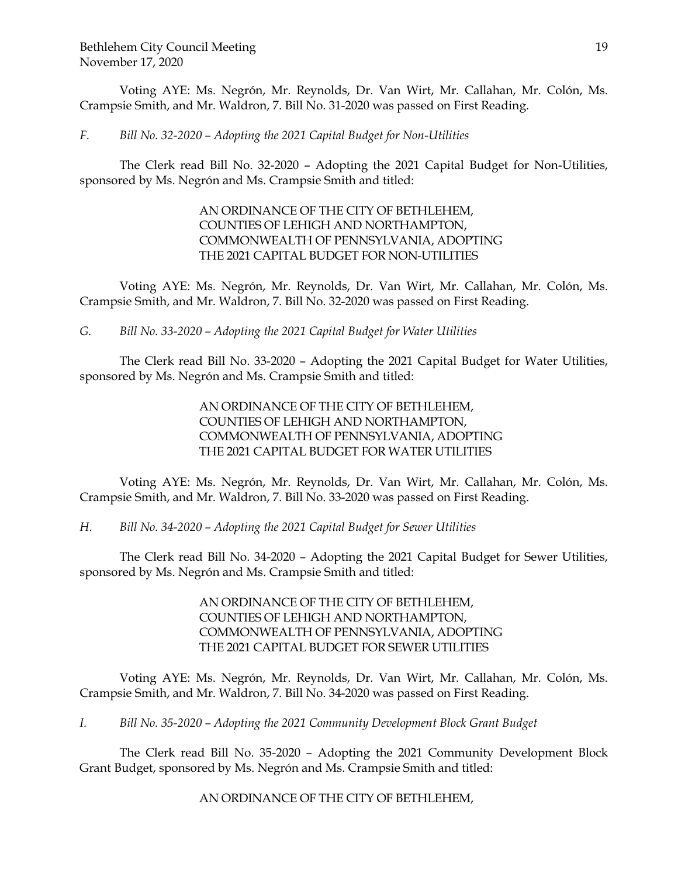Voting AYE: Ms. Negrón, Mr. Reynolds, Dr. Van Wirt, Mr. Callahan, Mr. Colón, Ms. Crampsie Smith, and Mr. Waldron, 7. Bill No. 31-2020 was passed on First Reading.

*F. Bill No. 32-2020 – Adopting the 2021 Capital Budget for Non-Utilities*

The Clerk read Bill No. 32-2020 – Adopting the 2021 Capital Budget for Non-Utilities, sponsored by Ms. Negrón and Ms. Crampsie Smith and titled:

# AN ORDINANCE OF THE CITY OF BETHLEHEM, COUNTIES OF LEHIGH AND NORTHAMPTON, COMMONWEALTH OF PENNSYLVANIA, ADOPTING THE 2021 CAPITAL BUDGET FOR NON-UTILITIES

Voting AYE: Ms. Negrón, Mr. Reynolds, Dr. Van Wirt, Mr. Callahan, Mr. Colón, Ms. Crampsie Smith, and Mr. Waldron, 7. Bill No. 32-2020 was passed on First Reading.

*G. Bill No. 33-2020 – Adopting the 2021 Capital Budget for Water Utilities*

The Clerk read Bill No. 33-2020 – Adopting the 2021 Capital Budget for Water Utilities, sponsored by Ms. Negrón and Ms. Crampsie Smith and titled:

> AN ORDINANCE OF THE CITY OF BETHLEHEM, COUNTIES OF LEHIGH AND NORTHAMPTON, COMMONWEALTH OF PENNSYLVANIA, ADOPTING THE 2021 CAPITAL BUDGET FOR WATER UTILITIES

Voting AYE: Ms. Negrón, Mr. Reynolds, Dr. Van Wirt, Mr. Callahan, Mr. Colón, Ms. Crampsie Smith, and Mr. Waldron, 7. Bill No. 33-2020 was passed on First Reading.

*H. Bill No. 34-2020 – Adopting the 2021 Capital Budget for Sewer Utilities*

The Clerk read Bill No. 34-2020 – Adopting the 2021 Capital Budget for Sewer Utilities, sponsored by Ms. Negrón and Ms. Crampsie Smith and titled:

> AN ORDINANCE OF THE CITY OF BETHLEHEM, COUNTIES OF LEHIGH AND NORTHAMPTON, COMMONWEALTH OF PENNSYLVANIA, ADOPTING THE 2021 CAPITAL BUDGET FOR SEWER UTILITIES

Voting AYE: Ms. Negrón, Mr. Reynolds, Dr. Van Wirt, Mr. Callahan, Mr. Colón, Ms. Crampsie Smith, and Mr. Waldron, 7. Bill No. 34-2020 was passed on First Reading.

*I. Bill No. 35-2020 – Adopting the 2021 Community Development Block Grant Budget*

The Clerk read Bill No. 35-2020 – Adopting the 2021 Community Development Block Grant Budget, sponsored by Ms. Negrón and Ms. Crampsie Smith and titled:

AN ORDINANCE OF THE CITY OF BETHLEHEM,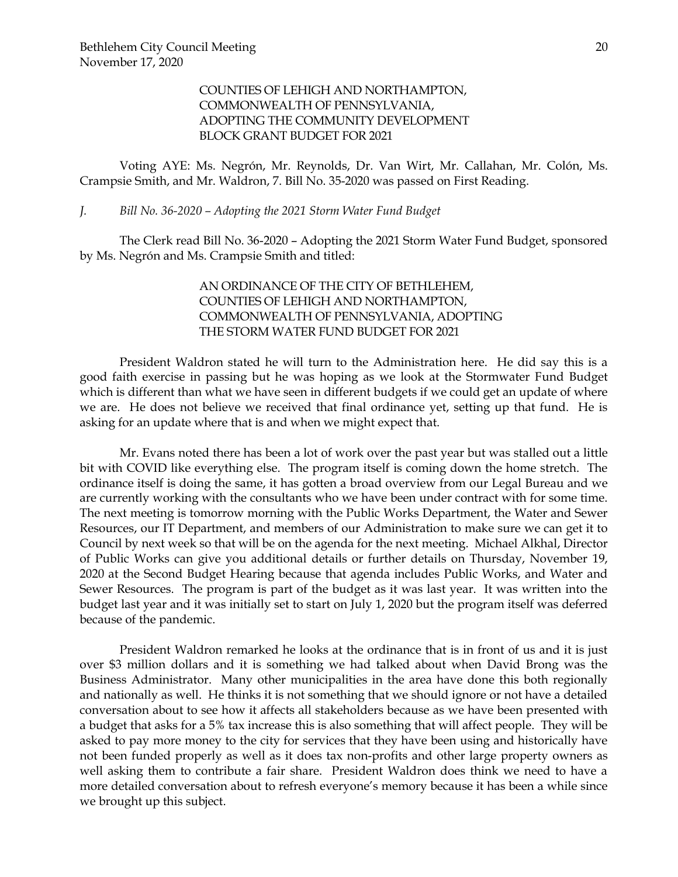# COUNTIES OF LEHIGH AND NORTHAMPTON, COMMONWEALTH OF PENNSYLVANIA, ADOPTING THE COMMUNITY DEVELOPMENT BLOCK GRANT BUDGET FOR 2021

Voting AYE: Ms. Negrón, Mr. Reynolds, Dr. Van Wirt, Mr. Callahan, Mr. Colón, Ms. Crampsie Smith, and Mr. Waldron, 7. Bill No. 35-2020 was passed on First Reading.

### *J. Bill No. 36-2020 – Adopting the 2021 Storm Water Fund Budget*

The Clerk read Bill No. 36-2020 – Adopting the 2021 Storm Water Fund Budget, sponsored by Ms. Negrón and Ms. Crampsie Smith and titled:

# AN ORDINANCE OF THE CITY OF BETHLEHEM, COUNTIES OF LEHIGH AND NORTHAMPTON, COMMONWEALTH OF PENNSYLVANIA, ADOPTING THE STORM WATER FUND BUDGET FOR 2021

President Waldron stated he will turn to the Administration here. He did say this is a good faith exercise in passing but he was hoping as we look at the Stormwater Fund Budget which is different than what we have seen in different budgets if we could get an update of where we are. He does not believe we received that final ordinance yet, setting up that fund. He is asking for an update where that is and when we might expect that.

Mr. Evans noted there has been a lot of work over the past year but was stalled out a little bit with COVID like everything else. The program itself is coming down the home stretch. The ordinance itself is doing the same, it has gotten a broad overview from our Legal Bureau and we are currently working with the consultants who we have been under contract with for some time. The next meeting is tomorrow morning with the Public Works Department, the Water and Sewer Resources, our IT Department, and members of our Administration to make sure we can get it to Council by next week so that will be on the agenda for the next meeting. Michael Alkhal, Director of Public Works can give you additional details or further details on Thursday, November 19, 2020 at the Second Budget Hearing because that agenda includes Public Works, and Water and Sewer Resources. The program is part of the budget as it was last year. It was written into the budget last year and it was initially set to start on July 1, 2020 but the program itself was deferred because of the pandemic.

President Waldron remarked he looks at the ordinance that is in front of us and it is just over \$3 million dollars and it is something we had talked about when David Brong was the Business Administrator. Many other municipalities in the area have done this both regionally and nationally as well. He thinks it is not something that we should ignore or not have a detailed conversation about to see how it affects all stakeholders because as we have been presented with a budget that asks for a 5% tax increase this is also something that will affect people. They will be asked to pay more money to the city for services that they have been using and historically have not been funded properly as well as it does tax non-profits and other large property owners as well asking them to contribute a fair share. President Waldron does think we need to have a more detailed conversation about to refresh everyone's memory because it has been a while since we brought up this subject.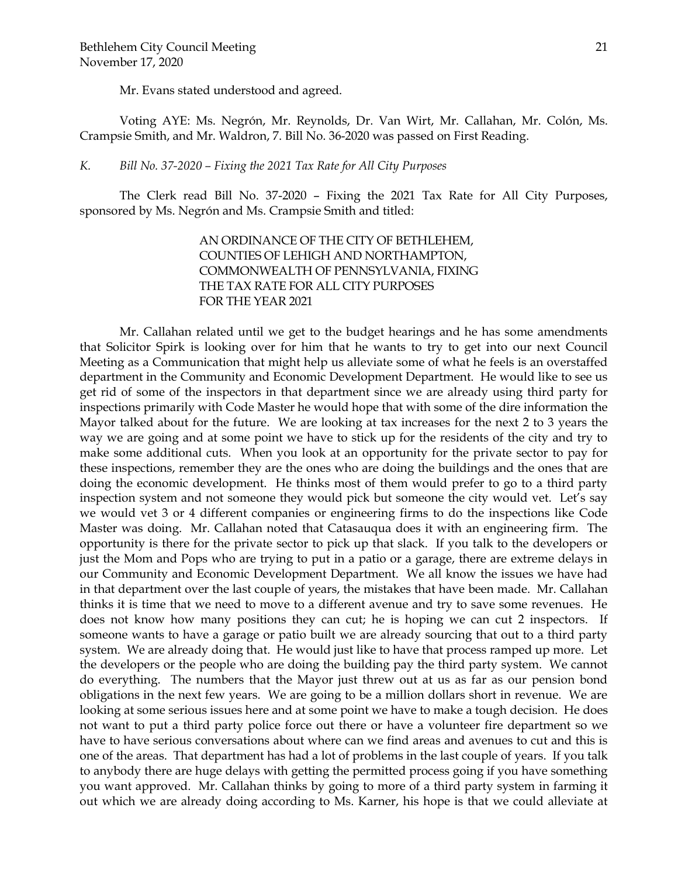Mr. Evans stated understood and agreed.

Voting AYE: Ms. Negrón, Mr. Reynolds, Dr. Van Wirt, Mr. Callahan, Mr. Colón, Ms. Crampsie Smith, and Mr. Waldron, 7. Bill No. 36-2020 was passed on First Reading.

## *K. Bill No. 37-2020 – Fixing the 2021 Tax Rate for All City Purposes*

The Clerk read Bill No. 37-2020 – Fixing the 2021 Tax Rate for All City Purposes, sponsored by Ms. Negrón and Ms. Crampsie Smith and titled:

> AN ORDINANCE OF THE CITY OF BETHLEHEM, COUNTIES OF LEHIGH AND NORTHAMPTON, COMMONWEALTH OF PENNSYLVANIA, FIXING THE TAX RATE FOR ALL CITY PURPOSES FOR THE YEAR 2021

Mr. Callahan related until we get to the budget hearings and he has some amendments that Solicitor Spirk is looking over for him that he wants to try to get into our next Council Meeting as a Communication that might help us alleviate some of what he feels is an overstaffed department in the Community and Economic Development Department. He would like to see us get rid of some of the inspectors in that department since we are already using third party for inspections primarily with Code Master he would hope that with some of the dire information the Mayor talked about for the future. We are looking at tax increases for the next 2 to 3 years the way we are going and at some point we have to stick up for the residents of the city and try to make some additional cuts. When you look at an opportunity for the private sector to pay for these inspections, remember they are the ones who are doing the buildings and the ones that are doing the economic development. He thinks most of them would prefer to go to a third party inspection system and not someone they would pick but someone the city would vet. Let's say we would vet 3 or 4 different companies or engineering firms to do the inspections like Code Master was doing. Mr. Callahan noted that Catasauqua does it with an engineering firm. The opportunity is there for the private sector to pick up that slack. If you talk to the developers or just the Mom and Pops who are trying to put in a patio or a garage, there are extreme delays in our Community and Economic Development Department. We all know the issues we have had in that department over the last couple of years, the mistakes that have been made. Mr. Callahan thinks it is time that we need to move to a different avenue and try to save some revenues. He does not know how many positions they can cut; he is hoping we can cut 2 inspectors. If someone wants to have a garage or patio built we are already sourcing that out to a third party system. We are already doing that. He would just like to have that process ramped up more. Let the developers or the people who are doing the building pay the third party system. We cannot do everything. The numbers that the Mayor just threw out at us as far as our pension bond obligations in the next few years. We are going to be a million dollars short in revenue. We are looking at some serious issues here and at some point we have to make a tough decision. He does not want to put a third party police force out there or have a volunteer fire department so we have to have serious conversations about where can we find areas and avenues to cut and this is one of the areas. That department has had a lot of problems in the last couple of years. If you talk to anybody there are huge delays with getting the permitted process going if you have something you want approved. Mr. Callahan thinks by going to more of a third party system in farming it out which we are already doing according to Ms. Karner, his hope is that we could alleviate at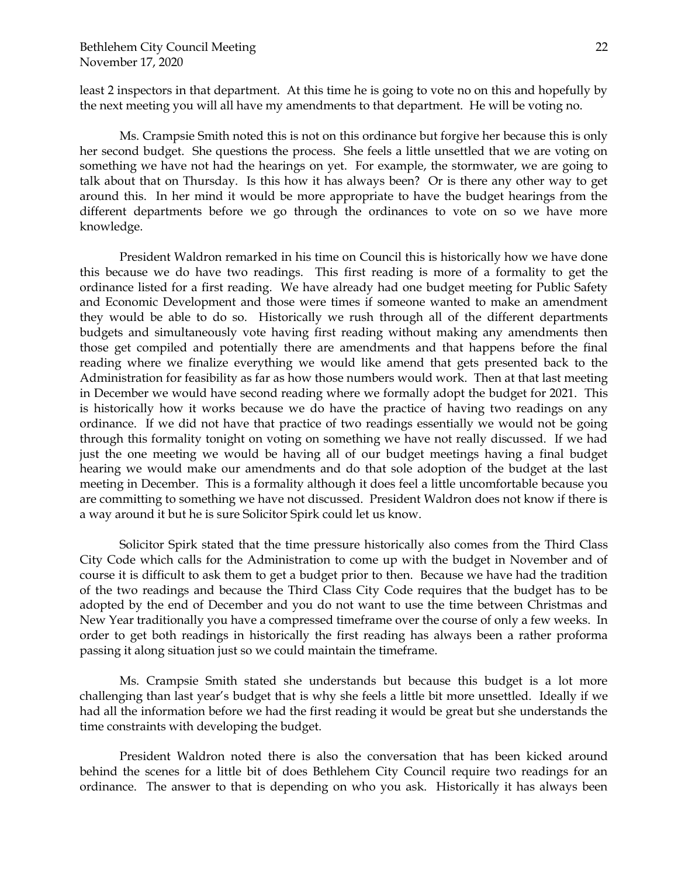least 2 inspectors in that department. At this time he is going to vote no on this and hopefully by the next meeting you will all have my amendments to that department. He will be voting no.

Ms. Crampsie Smith noted this is not on this ordinance but forgive her because this is only her second budget. She questions the process. She feels a little unsettled that we are voting on something we have not had the hearings on yet. For example, the stormwater, we are going to talk about that on Thursday. Is this how it has always been? Or is there any other way to get around this. In her mind it would be more appropriate to have the budget hearings from the different departments before we go through the ordinances to vote on so we have more knowledge.

President Waldron remarked in his time on Council this is historically how we have done this because we do have two readings. This first reading is more of a formality to get the ordinance listed for a first reading. We have already had one budget meeting for Public Safety and Economic Development and those were times if someone wanted to make an amendment they would be able to do so. Historically we rush through all of the different departments budgets and simultaneously vote having first reading without making any amendments then those get compiled and potentially there are amendments and that happens before the final reading where we finalize everything we would like amend that gets presented back to the Administration for feasibility as far as how those numbers would work. Then at that last meeting in December we would have second reading where we formally adopt the budget for 2021. This is historically how it works because we do have the practice of having two readings on any ordinance. If we did not have that practice of two readings essentially we would not be going through this formality tonight on voting on something we have not really discussed. If we had just the one meeting we would be having all of our budget meetings having a final budget hearing we would make our amendments and do that sole adoption of the budget at the last meeting in December. This is a formality although it does feel a little uncomfortable because you are committing to something we have not discussed. President Waldron does not know if there is a way around it but he is sure Solicitor Spirk could let us know.

Solicitor Spirk stated that the time pressure historically also comes from the Third Class City Code which calls for the Administration to come up with the budget in November and of course it is difficult to ask them to get a budget prior to then. Because we have had the tradition of the two readings and because the Third Class City Code requires that the budget has to be adopted by the end of December and you do not want to use the time between Christmas and New Year traditionally you have a compressed timeframe over the course of only a few weeks. In order to get both readings in historically the first reading has always been a rather proforma passing it along situation just so we could maintain the timeframe.

Ms. Crampsie Smith stated she understands but because this budget is a lot more challenging than last year's budget that is why she feels a little bit more unsettled. Ideally if we had all the information before we had the first reading it would be great but she understands the time constraints with developing the budget.

President Waldron noted there is also the conversation that has been kicked around behind the scenes for a little bit of does Bethlehem City Council require two readings for an ordinance. The answer to that is depending on who you ask. Historically it has always been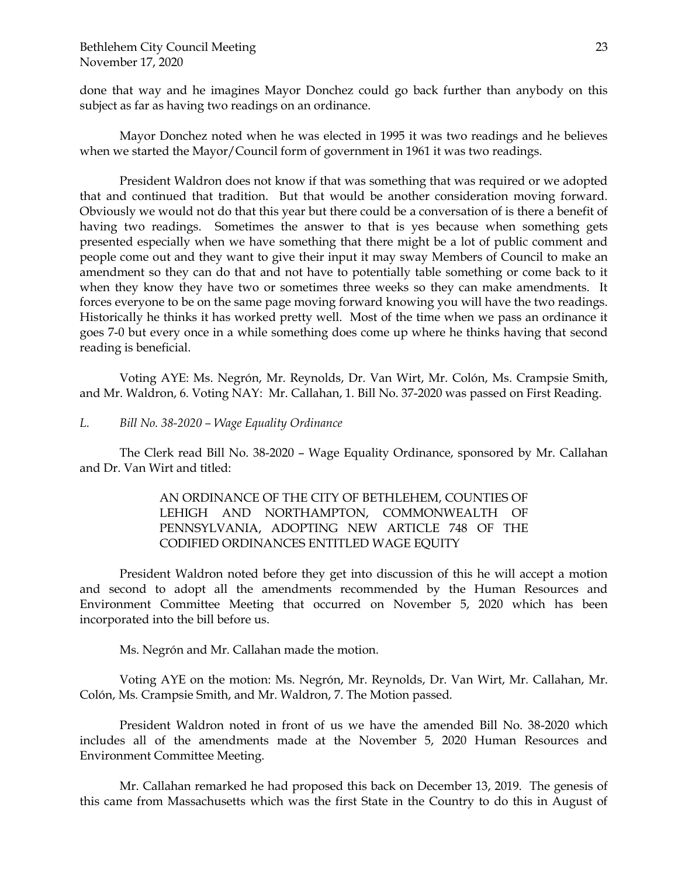done that way and he imagines Mayor Donchez could go back further than anybody on this subject as far as having two readings on an ordinance.

Mayor Donchez noted when he was elected in 1995 it was two readings and he believes when we started the Mayor/Council form of government in 1961 it was two readings.

President Waldron does not know if that was something that was required or we adopted that and continued that tradition. But that would be another consideration moving forward. Obviously we would not do that this year but there could be a conversation of is there a benefit of having two readings. Sometimes the answer to that is yes because when something gets presented especially when we have something that there might be a lot of public comment and people come out and they want to give their input it may sway Members of Council to make an amendment so they can do that and not have to potentially table something or come back to it when they know they have two or sometimes three weeks so they can make amendments. It forces everyone to be on the same page moving forward knowing you will have the two readings. Historically he thinks it has worked pretty well. Most of the time when we pass an ordinance it goes 7-0 but every once in a while something does come up where he thinks having that second reading is beneficial.

Voting AYE: Ms. Negrón, Mr. Reynolds, Dr. Van Wirt, Mr. Colón, Ms. Crampsie Smith, and Mr. Waldron, 6. Voting NAY: Mr. Callahan, 1. Bill No. 37-2020 was passed on First Reading.

*L. Bill No. 38-2020 – Wage Equality Ordinance* 

The Clerk read Bill No. 38-2020 – Wage Equality Ordinance, sponsored by Mr. Callahan and Dr. Van Wirt and titled:

> AN ORDINANCE OF THE CITY OF BETHLEHEM, COUNTIES OF LEHIGH AND NORTHAMPTON, COMMONWEALTH OF PENNSYLVANIA, ADOPTING NEW ARTICLE 748 OF THE CODIFIED ORDINANCES ENTITLED WAGE EQUITY

President Waldron noted before they get into discussion of this he will accept a motion and second to adopt all the amendments recommended by the Human Resources and Environment Committee Meeting that occurred on November 5, 2020 which has been incorporated into the bill before us.

Ms. Negrón and Mr. Callahan made the motion.

Voting AYE on the motion: Ms. Negrón, Mr. Reynolds, Dr. Van Wirt, Mr. Callahan, Mr. Colón, Ms. Crampsie Smith, and Mr. Waldron, 7. The Motion passed.

President Waldron noted in front of us we have the amended Bill No. 38-2020 which includes all of the amendments made at the November 5, 2020 Human Resources and Environment Committee Meeting.

Mr. Callahan remarked he had proposed this back on December 13, 2019. The genesis of this came from Massachusetts which was the first State in the Country to do this in August of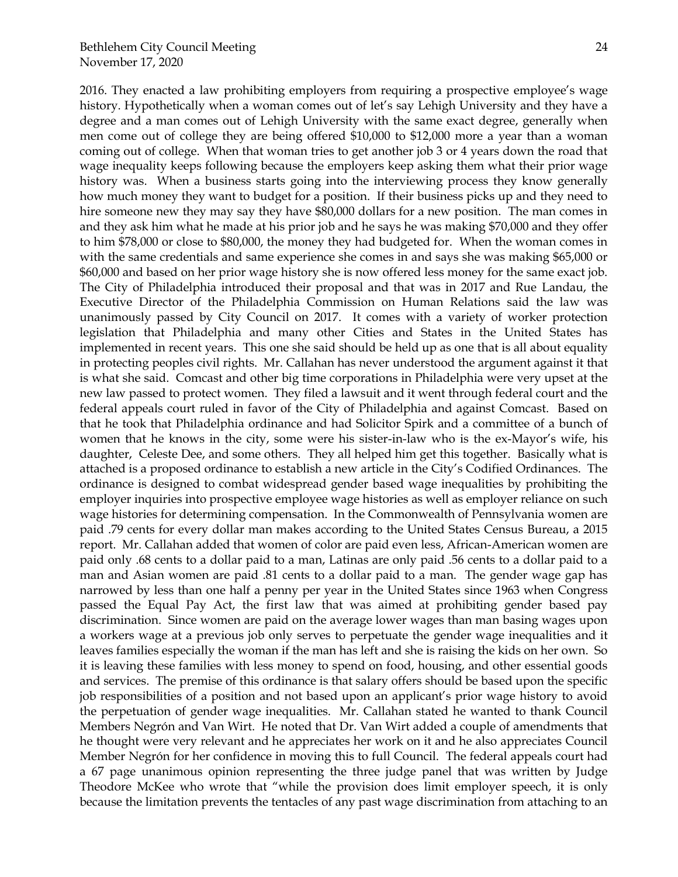2016. They enacted a law prohibiting employers from requiring a prospective employee's wage history. Hypothetically when a woman comes out of let's say Lehigh University and they have a degree and a man comes out of Lehigh University with the same exact degree, generally when men come out of college they are being offered \$10,000 to \$12,000 more a year than a woman coming out of college. When that woman tries to get another job 3 or 4 years down the road that wage inequality keeps following because the employers keep asking them what their prior wage history was. When a business starts going into the interviewing process they know generally how much money they want to budget for a position. If their business picks up and they need to hire someone new they may say they have \$80,000 dollars for a new position. The man comes in and they ask him what he made at his prior job and he says he was making \$70,000 and they offer to him \$78,000 or close to \$80,000, the money they had budgeted for. When the woman comes in with the same credentials and same experience she comes in and says she was making \$65,000 or \$60,000 and based on her prior wage history she is now offered less money for the same exact job. The City of Philadelphia introduced their proposal and that was in 2017 and Rue Landau, the Executive Director of the Philadelphia Commission on Human Relations said the law was unanimously passed by City Council on 2017. It comes with a variety of worker protection legislation that Philadelphia and many other Cities and States in the United States has implemented in recent years. This one she said should be held up as one that is all about equality in protecting peoples civil rights. Mr. Callahan has never understood the argument against it that is what she said. Comcast and other big time corporations in Philadelphia were very upset at the new law passed to protect women. They filed a lawsuit and it went through federal court and the federal appeals court ruled in favor of the City of Philadelphia and against Comcast. Based on that he took that Philadelphia ordinance and had Solicitor Spirk and a committee of a bunch of women that he knows in the city, some were his sister-in-law who is the ex-Mayor's wife, his daughter, Celeste Dee, and some others. They all helped him get this together. Basically what is attached is a proposed ordinance to establish a new article in the City's Codified Ordinances. The ordinance is designed to combat widespread gender based wage inequalities by prohibiting the employer inquiries into prospective employee wage histories as well as employer reliance on such wage histories for determining compensation. In the Commonwealth of Pennsylvania women are paid .79 cents for every dollar man makes according to the United States Census Bureau, a 2015 report. Mr. Callahan added that women of color are paid even less, African-American women are paid only .68 cents to a dollar paid to a man, Latinas are only paid .56 cents to a dollar paid to a man and Asian women are paid .81 cents to a dollar paid to a man. The gender wage gap has narrowed by less than one half a penny per year in the United States since 1963 when Congress passed the Equal Pay Act, the first law that was aimed at prohibiting gender based pay discrimination. Since women are paid on the average lower wages than man basing wages upon a workers wage at a previous job only serves to perpetuate the gender wage inequalities and it leaves families especially the woman if the man has left and she is raising the kids on her own. So it is leaving these families with less money to spend on food, housing, and other essential goods and services. The premise of this ordinance is that salary offers should be based upon the specific job responsibilities of a position and not based upon an applicant's prior wage history to avoid the perpetuation of gender wage inequalities. Mr. Callahan stated he wanted to thank Council Members Negrón and Van Wirt. He noted that Dr. Van Wirt added a couple of amendments that he thought were very relevant and he appreciates her work on it and he also appreciates Council Member Negrón for her confidence in moving this to full Council. The federal appeals court had a 67 page unanimous opinion representing the three judge panel that was written by Judge Theodore McKee who wrote that "while the provision does limit employer speech, it is only because the limitation prevents the tentacles of any past wage discrimination from attaching to an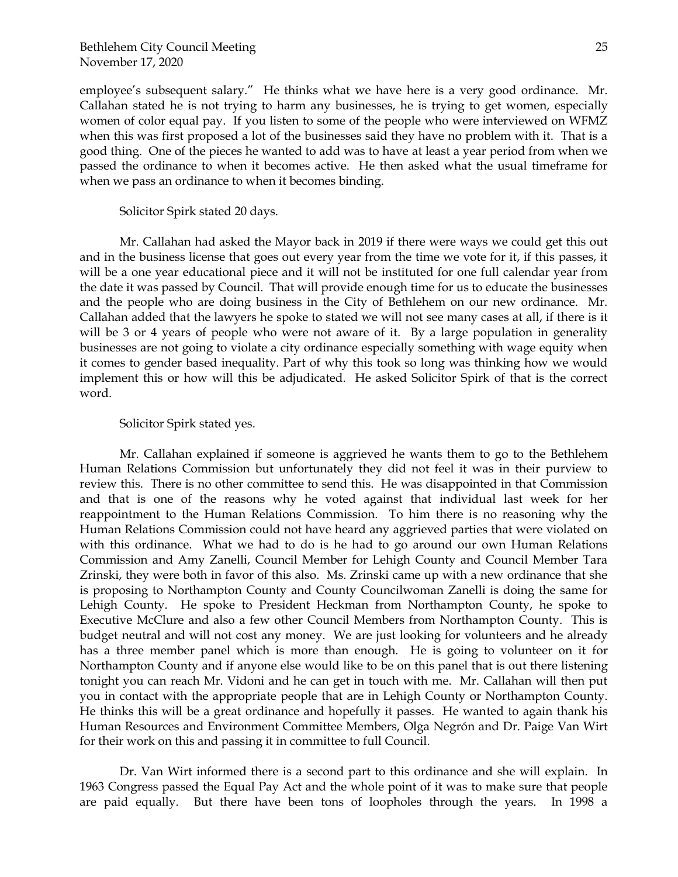employee's subsequent salary." He thinks what we have here is a very good ordinance. Mr. Callahan stated he is not trying to harm any businesses, he is trying to get women, especially women of color equal pay. If you listen to some of the people who were interviewed on WFMZ when this was first proposed a lot of the businesses said they have no problem with it. That is a good thing. One of the pieces he wanted to add was to have at least a year period from when we passed the ordinance to when it becomes active. He then asked what the usual timeframe for when we pass an ordinance to when it becomes binding.

Solicitor Spirk stated 20 days.

Mr. Callahan had asked the Mayor back in 2019 if there were ways we could get this out and in the business license that goes out every year from the time we vote for it, if this passes, it will be a one year educational piece and it will not be instituted for one full calendar year from the date it was passed by Council. That will provide enough time for us to educate the businesses and the people who are doing business in the City of Bethlehem on our new ordinance. Mr. Callahan added that the lawyers he spoke to stated we will not see many cases at all, if there is it will be 3 or 4 years of people who were not aware of it. By a large population in generality businesses are not going to violate a city ordinance especially something with wage equity when it comes to gender based inequality. Part of why this took so long was thinking how we would implement this or how will this be adjudicated. He asked Solicitor Spirk of that is the correct word.

### Solicitor Spirk stated yes.

Mr. Callahan explained if someone is aggrieved he wants them to go to the Bethlehem Human Relations Commission but unfortunately they did not feel it was in their purview to review this. There is no other committee to send this. He was disappointed in that Commission and that is one of the reasons why he voted against that individual last week for her reappointment to the Human Relations Commission. To him there is no reasoning why the Human Relations Commission could not have heard any aggrieved parties that were violated on with this ordinance. What we had to do is he had to go around our own Human Relations Commission and Amy Zanelli, Council Member for Lehigh County and Council Member Tara Zrinski, they were both in favor of this also. Ms. Zrinski came up with a new ordinance that she is proposing to Northampton County and County Councilwoman Zanelli is doing the same for Lehigh County. He spoke to President Heckman from Northampton County, he spoke to Executive McClure and also a few other Council Members from Northampton County. This is budget neutral and will not cost any money. We are just looking for volunteers and he already has a three member panel which is more than enough. He is going to volunteer on it for Northampton County and if anyone else would like to be on this panel that is out there listening tonight you can reach Mr. Vidoni and he can get in touch with me. Mr. Callahan will then put you in contact with the appropriate people that are in Lehigh County or Northampton County. He thinks this will be a great ordinance and hopefully it passes. He wanted to again thank his Human Resources and Environment Committee Members, Olga Negrón and Dr. Paige Van Wirt for their work on this and passing it in committee to full Council.

Dr. Van Wirt informed there is a second part to this ordinance and she will explain. In 1963 Congress passed the Equal Pay Act and the whole point of it was to make sure that people are paid equally. But there have been tons of loopholes through the years. In 1998 a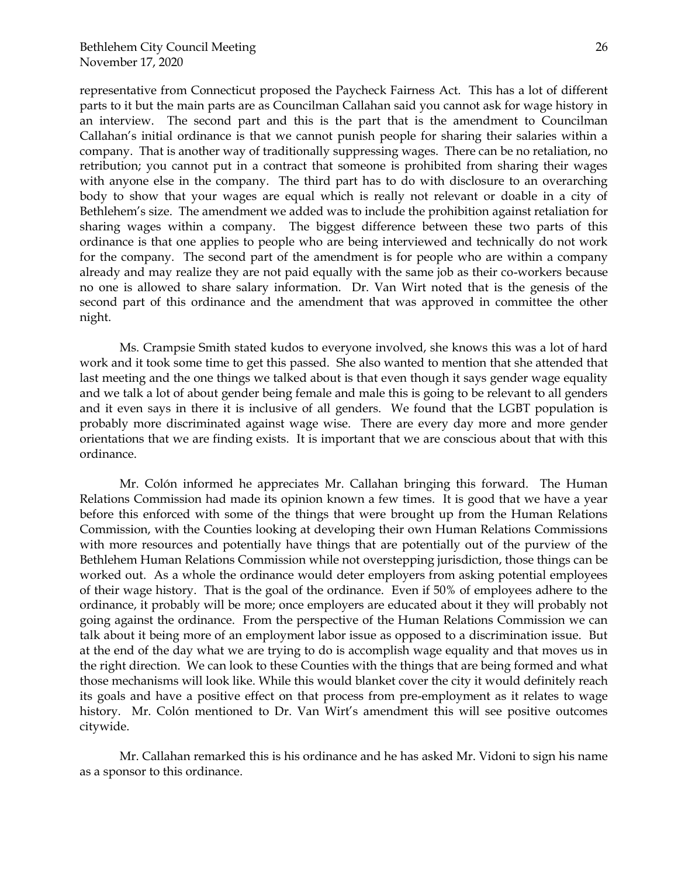representative from Connecticut proposed the Paycheck Fairness Act. This has a lot of different parts to it but the main parts are as Councilman Callahan said you cannot ask for wage history in an interview. The second part and this is the part that is the amendment to Councilman Callahan's initial ordinance is that we cannot punish people for sharing their salaries within a company. That is another way of traditionally suppressing wages. There can be no retaliation, no retribution; you cannot put in a contract that someone is prohibited from sharing their wages with anyone else in the company. The third part has to do with disclosure to an overarching body to show that your wages are equal which is really not relevant or doable in a city of Bethlehem's size. The amendment we added was to include the prohibition against retaliation for sharing wages within a company. The biggest difference between these two parts of this ordinance is that one applies to people who are being interviewed and technically do not work for the company. The second part of the amendment is for people who are within a company already and may realize they are not paid equally with the same job as their co-workers because no one is allowed to share salary information. Dr. Van Wirt noted that is the genesis of the second part of this ordinance and the amendment that was approved in committee the other night.

Ms. Crampsie Smith stated kudos to everyone involved, she knows this was a lot of hard work and it took some time to get this passed. She also wanted to mention that she attended that last meeting and the one things we talked about is that even though it says gender wage equality and we talk a lot of about gender being female and male this is going to be relevant to all genders and it even says in there it is inclusive of all genders. We found that the LGBT population is probably more discriminated against wage wise. There are every day more and more gender orientations that we are finding exists. It is important that we are conscious about that with this ordinance.

Mr. Colón informed he appreciates Mr. Callahan bringing this forward. The Human Relations Commission had made its opinion known a few times. It is good that we have a year before this enforced with some of the things that were brought up from the Human Relations Commission, with the Counties looking at developing their own Human Relations Commissions with more resources and potentially have things that are potentially out of the purview of the Bethlehem Human Relations Commission while not overstepping jurisdiction, those things can be worked out. As a whole the ordinance would deter employers from asking potential employees of their wage history. That is the goal of the ordinance. Even if 50% of employees adhere to the ordinance, it probably will be more; once employers are educated about it they will probably not going against the ordinance. From the perspective of the Human Relations Commission we can talk about it being more of an employment labor issue as opposed to a discrimination issue. But at the end of the day what we are trying to do is accomplish wage equality and that moves us in the right direction. We can look to these Counties with the things that are being formed and what those mechanisms will look like. While this would blanket cover the city it would definitely reach its goals and have a positive effect on that process from pre-employment as it relates to wage history. Mr. Colón mentioned to Dr. Van Wirt's amendment this will see positive outcomes citywide.

Mr. Callahan remarked this is his ordinance and he has asked Mr. Vidoni to sign his name as a sponsor to this ordinance.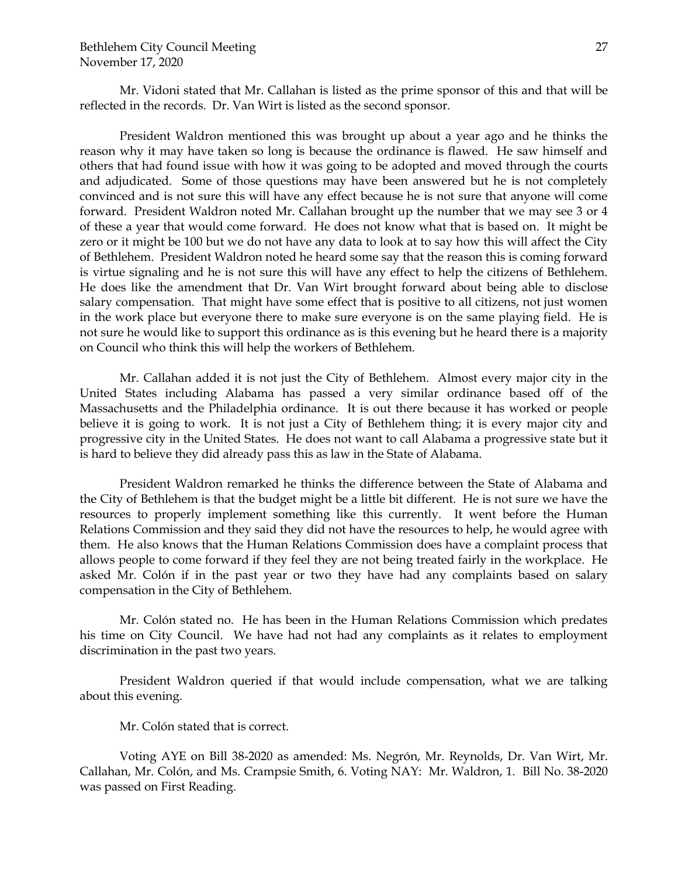Mr. Vidoni stated that Mr. Callahan is listed as the prime sponsor of this and that will be reflected in the records. Dr. Van Wirt is listed as the second sponsor.

President Waldron mentioned this was brought up about a year ago and he thinks the reason why it may have taken so long is because the ordinance is flawed. He saw himself and others that had found issue with how it was going to be adopted and moved through the courts and adjudicated. Some of those questions may have been answered but he is not completely convinced and is not sure this will have any effect because he is not sure that anyone will come forward. President Waldron noted Mr. Callahan brought up the number that we may see 3 or 4 of these a year that would come forward. He does not know what that is based on. It might be zero or it might be 100 but we do not have any data to look at to say how this will affect the City of Bethlehem. President Waldron noted he heard some say that the reason this is coming forward is virtue signaling and he is not sure this will have any effect to help the citizens of Bethlehem. He does like the amendment that Dr. Van Wirt brought forward about being able to disclose salary compensation. That might have some effect that is positive to all citizens, not just women in the work place but everyone there to make sure everyone is on the same playing field. He is not sure he would like to support this ordinance as is this evening but he heard there is a majority on Council who think this will help the workers of Bethlehem.

Mr. Callahan added it is not just the City of Bethlehem. Almost every major city in the United States including Alabama has passed a very similar ordinance based off of the Massachusetts and the Philadelphia ordinance. It is out there because it has worked or people believe it is going to work. It is not just a City of Bethlehem thing; it is every major city and progressive city in the United States. He does not want to call Alabama a progressive state but it is hard to believe they did already pass this as law in the State of Alabama.

President Waldron remarked he thinks the difference between the State of Alabama and the City of Bethlehem is that the budget might be a little bit different. He is not sure we have the resources to properly implement something like this currently. It went before the Human Relations Commission and they said they did not have the resources to help, he would agree with them. He also knows that the Human Relations Commission does have a complaint process that allows people to come forward if they feel they are not being treated fairly in the workplace. He asked Mr. Colón if in the past year or two they have had any complaints based on salary compensation in the City of Bethlehem.

Mr. Colón stated no. He has been in the Human Relations Commission which predates his time on City Council. We have had not had any complaints as it relates to employment discrimination in the past two years.

President Waldron queried if that would include compensation, what we are talking about this evening.

Mr. Colón stated that is correct.

Voting AYE on Bill 38-2020 as amended: Ms. Negrón, Mr. Reynolds, Dr. Van Wirt, Mr. Callahan, Mr. Colón, and Ms. Crampsie Smith, 6. Voting NAY: Mr. Waldron, 1. Bill No. 38-2020 was passed on First Reading.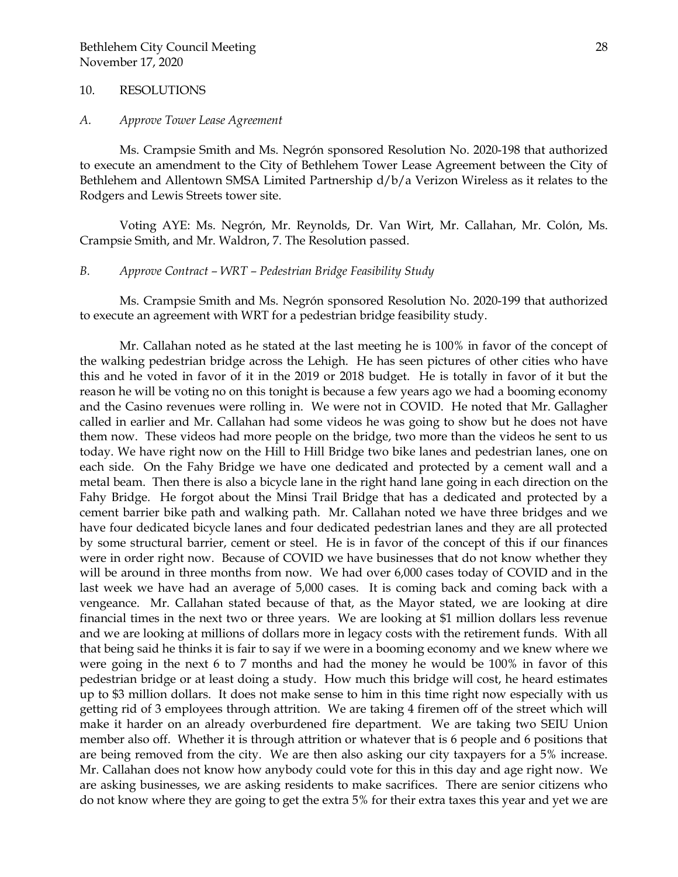### 10. RESOLUTIONS

#### *A. Approve Tower Lease Agreement*

Ms. Crampsie Smith and Ms. Negrón sponsored Resolution No. 2020-198 that authorized to execute an amendment to the City of Bethlehem Tower Lease Agreement between the City of Bethlehem and Allentown SMSA Limited Partnership d/b/a Verizon Wireless as it relates to the Rodgers and Lewis Streets tower site.

Voting AYE: Ms. Negrón, Mr. Reynolds, Dr. Van Wirt, Mr. Callahan, Mr. Colón, Ms. Crampsie Smith, and Mr. Waldron, 7. The Resolution passed.

## *B. Approve Contract – WRT – Pedestrian Bridge Feasibility Study*

Ms. Crampsie Smith and Ms. Negrón sponsored Resolution No. 2020-199 that authorized to execute an agreement with WRT for a pedestrian bridge feasibility study.

Mr. Callahan noted as he stated at the last meeting he is 100% in favor of the concept of the walking pedestrian bridge across the Lehigh. He has seen pictures of other cities who have this and he voted in favor of it in the 2019 or 2018 budget. He is totally in favor of it but the reason he will be voting no on this tonight is because a few years ago we had a booming economy and the Casino revenues were rolling in. We were not in COVID. He noted that Mr. Gallagher called in earlier and Mr. Callahan had some videos he was going to show but he does not have them now. These videos had more people on the bridge, two more than the videos he sent to us today. We have right now on the Hill to Hill Bridge two bike lanes and pedestrian lanes, one on each side. On the Fahy Bridge we have one dedicated and protected by a cement wall and a metal beam. Then there is also a bicycle lane in the right hand lane going in each direction on the Fahy Bridge. He forgot about the Minsi Trail Bridge that has a dedicated and protected by a cement barrier bike path and walking path. Mr. Callahan noted we have three bridges and we have four dedicated bicycle lanes and four dedicated pedestrian lanes and they are all protected by some structural barrier, cement or steel. He is in favor of the concept of this if our finances were in order right now. Because of COVID we have businesses that do not know whether they will be around in three months from now. We had over 6,000 cases today of COVID and in the last week we have had an average of 5,000 cases. It is coming back and coming back with a vengeance. Mr. Callahan stated because of that, as the Mayor stated, we are looking at dire financial times in the next two or three years. We are looking at \$1 million dollars less revenue and we are looking at millions of dollars more in legacy costs with the retirement funds. With all that being said he thinks it is fair to say if we were in a booming economy and we knew where we were going in the next 6 to 7 months and had the money he would be 100% in favor of this pedestrian bridge or at least doing a study. How much this bridge will cost, he heard estimates up to \$3 million dollars. It does not make sense to him in this time right now especially with us getting rid of 3 employees through attrition. We are taking 4 firemen off of the street which will make it harder on an already overburdened fire department. We are taking two SEIU Union member also off. Whether it is through attrition or whatever that is 6 people and 6 positions that are being removed from the city. We are then also asking our city taxpayers for a 5% increase. Mr. Callahan does not know how anybody could vote for this in this day and age right now. We are asking businesses, we are asking residents to make sacrifices. There are senior citizens who do not know where they are going to get the extra 5% for their extra taxes this year and yet we are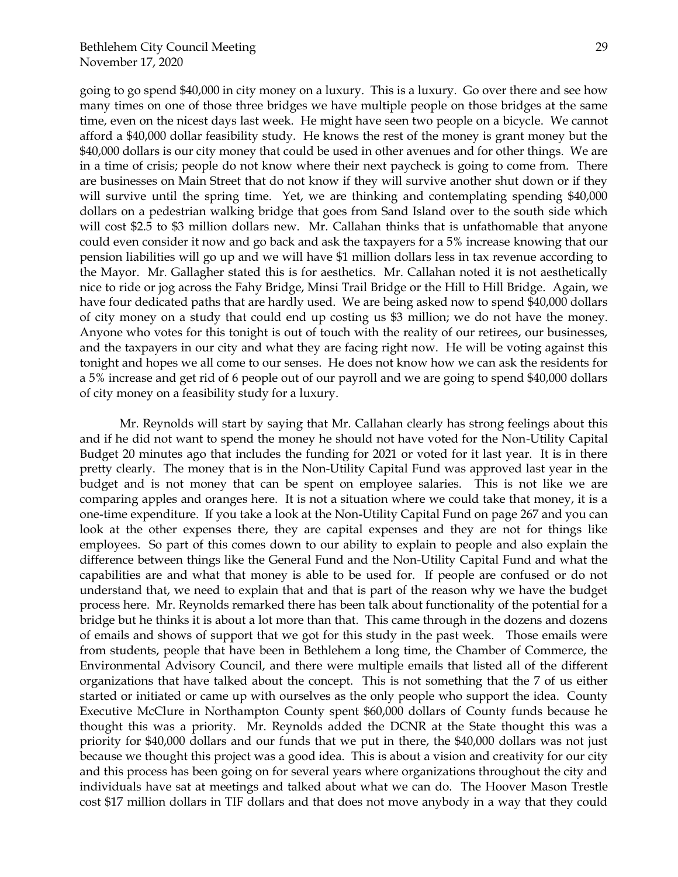going to go spend \$40,000 in city money on a luxury. This is a luxury. Go over there and see how many times on one of those three bridges we have multiple people on those bridges at the same time, even on the nicest days last week. He might have seen two people on a bicycle. We cannot afford a \$40,000 dollar feasibility study. He knows the rest of the money is grant money but the \$40,000 dollars is our city money that could be used in other avenues and for other things. We are in a time of crisis; people do not know where their next paycheck is going to come from. There are businesses on Main Street that do not know if they will survive another shut down or if they will survive until the spring time. Yet, we are thinking and contemplating spending \$40,000 dollars on a pedestrian walking bridge that goes from Sand Island over to the south side which will cost \$2.5 to \$3 million dollars new. Mr. Callahan thinks that is unfathomable that anyone could even consider it now and go back and ask the taxpayers for a 5% increase knowing that our pension liabilities will go up and we will have \$1 million dollars less in tax revenue according to the Mayor. Mr. Gallagher stated this is for aesthetics. Mr. Callahan noted it is not aesthetically nice to ride or jog across the Fahy Bridge, Minsi Trail Bridge or the Hill to Hill Bridge. Again, we have four dedicated paths that are hardly used. We are being asked now to spend \$40,000 dollars of city money on a study that could end up costing us \$3 million; we do not have the money. Anyone who votes for this tonight is out of touch with the reality of our retirees, our businesses, and the taxpayers in our city and what they are facing right now. He will be voting against this tonight and hopes we all come to our senses. He does not know how we can ask the residents for a 5% increase and get rid of 6 people out of our payroll and we are going to spend \$40,000 dollars of city money on a feasibility study for a luxury.

Mr. Reynolds will start by saying that Mr. Callahan clearly has strong feelings about this and if he did not want to spend the money he should not have voted for the Non-Utility Capital Budget 20 minutes ago that includes the funding for 2021 or voted for it last year. It is in there pretty clearly. The money that is in the Non-Utility Capital Fund was approved last year in the budget and is not money that can be spent on employee salaries. This is not like we are comparing apples and oranges here. It is not a situation where we could take that money, it is a one-time expenditure. If you take a look at the Non-Utility Capital Fund on page 267 and you can look at the other expenses there, they are capital expenses and they are not for things like employees. So part of this comes down to our ability to explain to people and also explain the difference between things like the General Fund and the Non-Utility Capital Fund and what the capabilities are and what that money is able to be used for. If people are confused or do not understand that, we need to explain that and that is part of the reason why we have the budget process here. Mr. Reynolds remarked there has been talk about functionality of the potential for a bridge but he thinks it is about a lot more than that. This came through in the dozens and dozens of emails and shows of support that we got for this study in the past week. Those emails were from students, people that have been in Bethlehem a long time, the Chamber of Commerce, the Environmental Advisory Council, and there were multiple emails that listed all of the different organizations that have talked about the concept. This is not something that the 7 of us either started or initiated or came up with ourselves as the only people who support the idea. County Executive McClure in Northampton County spent \$60,000 dollars of County funds because he thought this was a priority. Mr. Reynolds added the DCNR at the State thought this was a priority for \$40,000 dollars and our funds that we put in there, the \$40,000 dollars was not just because we thought this project was a good idea. This is about a vision and creativity for our city and this process has been going on for several years where organizations throughout the city and individuals have sat at meetings and talked about what we can do. The Hoover Mason Trestle cost \$17 million dollars in TIF dollars and that does not move anybody in a way that they could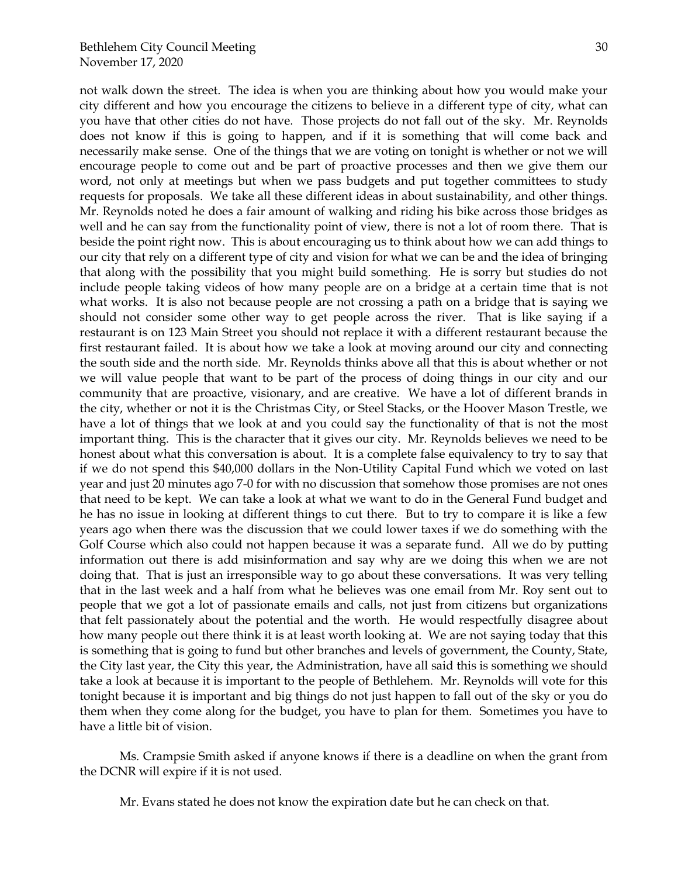not walk down the street. The idea is when you are thinking about how you would make your city different and how you encourage the citizens to believe in a different type of city, what can you have that other cities do not have. Those projects do not fall out of the sky. Mr. Reynolds does not know if this is going to happen, and if it is something that will come back and necessarily make sense. One of the things that we are voting on tonight is whether or not we will encourage people to come out and be part of proactive processes and then we give them our word, not only at meetings but when we pass budgets and put together committees to study requests for proposals. We take all these different ideas in about sustainability, and other things. Mr. Reynolds noted he does a fair amount of walking and riding his bike across those bridges as well and he can say from the functionality point of view, there is not a lot of room there. That is beside the point right now. This is about encouraging us to think about how we can add things to our city that rely on a different type of city and vision for what we can be and the idea of bringing that along with the possibility that you might build something. He is sorry but studies do not include people taking videos of how many people are on a bridge at a certain time that is not what works. It is also not because people are not crossing a path on a bridge that is saying we should not consider some other way to get people across the river. That is like saying if a restaurant is on 123 Main Street you should not replace it with a different restaurant because the first restaurant failed. It is about how we take a look at moving around our city and connecting the south side and the north side. Mr. Reynolds thinks above all that this is about whether or not we will value people that want to be part of the process of doing things in our city and our community that are proactive, visionary, and are creative. We have a lot of different brands in the city, whether or not it is the Christmas City, or Steel Stacks, or the Hoover Mason Trestle, we have a lot of things that we look at and you could say the functionality of that is not the most important thing. This is the character that it gives our city. Mr. Reynolds believes we need to be honest about what this conversation is about. It is a complete false equivalency to try to say that if we do not spend this \$40,000 dollars in the Non-Utility Capital Fund which we voted on last year and just 20 minutes ago 7-0 for with no discussion that somehow those promises are not ones that need to be kept. We can take a look at what we want to do in the General Fund budget and he has no issue in looking at different things to cut there. But to try to compare it is like a few years ago when there was the discussion that we could lower taxes if we do something with the Golf Course which also could not happen because it was a separate fund. All we do by putting information out there is add misinformation and say why are we doing this when we are not doing that. That is just an irresponsible way to go about these conversations. It was very telling that in the last week and a half from what he believes was one email from Mr. Roy sent out to people that we got a lot of passionate emails and calls, not just from citizens but organizations that felt passionately about the potential and the worth. He would respectfully disagree about how many people out there think it is at least worth looking at. We are not saying today that this is something that is going to fund but other branches and levels of government, the County, State, the City last year, the City this year, the Administration, have all said this is something we should take a look at because it is important to the people of Bethlehem. Mr. Reynolds will vote for this tonight because it is important and big things do not just happen to fall out of the sky or you do them when they come along for the budget, you have to plan for them. Sometimes you have to have a little bit of vision.

Ms. Crampsie Smith asked if anyone knows if there is a deadline on when the grant from the DCNR will expire if it is not used.

Mr. Evans stated he does not know the expiration date but he can check on that.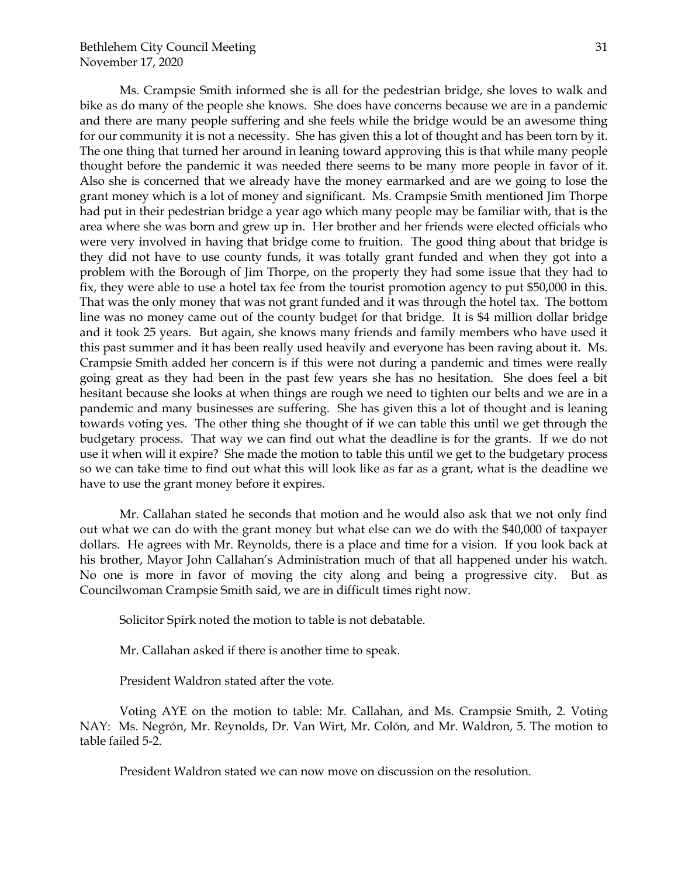Ms. Crampsie Smith informed she is all for the pedestrian bridge, she loves to walk and bike as do many of the people she knows. She does have concerns because we are in a pandemic and there are many people suffering and she feels while the bridge would be an awesome thing for our community it is not a necessity. She has given this a lot of thought and has been torn by it. The one thing that turned her around in leaning toward approving this is that while many people thought before the pandemic it was needed there seems to be many more people in favor of it. Also she is concerned that we already have the money earmarked and are we going to lose the grant money which is a lot of money and significant. Ms. Crampsie Smith mentioned Jim Thorpe had put in their pedestrian bridge a year ago which many people may be familiar with, that is the area where she was born and grew up in. Her brother and her friends were elected officials who were very involved in having that bridge come to fruition. The good thing about that bridge is they did not have to use county funds, it was totally grant funded and when they got into a problem with the Borough of Jim Thorpe, on the property they had some issue that they had to fix, they were able to use a hotel tax fee from the tourist promotion agency to put \$50,000 in this. That was the only money that was not grant funded and it was through the hotel tax. The bottom line was no money came out of the county budget for that bridge. It is \$4 million dollar bridge and it took 25 years. But again, she knows many friends and family members who have used it this past summer and it has been really used heavily and everyone has been raving about it. Ms. Crampsie Smith added her concern is if this were not during a pandemic and times were really going great as they had been in the past few years she has no hesitation. She does feel a bit hesitant because she looks at when things are rough we need to tighten our belts and we are in a pandemic and many businesses are suffering. She has given this a lot of thought and is leaning towards voting yes. The other thing she thought of if we can table this until we get through the budgetary process. That way we can find out what the deadline is for the grants. If we do not use it when will it expire? She made the motion to table this until we get to the budgetary process so we can take time to find out what this will look like as far as a grant, what is the deadline we have to use the grant money before it expires.

Mr. Callahan stated he seconds that motion and he would also ask that we not only find out what we can do with the grant money but what else can we do with the \$40,000 of taxpayer dollars. He agrees with Mr. Reynolds, there is a place and time for a vision. If you look back at his brother, Mayor John Callahan's Administration much of that all happened under his watch. No one is more in favor of moving the city along and being a progressive city. But as Councilwoman Crampsie Smith said, we are in difficult times right now.

Solicitor Spirk noted the motion to table is not debatable.

Mr. Callahan asked if there is another time to speak.

President Waldron stated after the vote.

Voting AYE on the motion to table: Mr. Callahan, and Ms. Crampsie Smith, 2. Voting NAY: Ms. Negrón, Mr. Reynolds, Dr. Van Wirt, Mr. Colón, and Mr. Waldron, 5. The motion to table failed 5-2.

President Waldron stated we can now move on discussion on the resolution.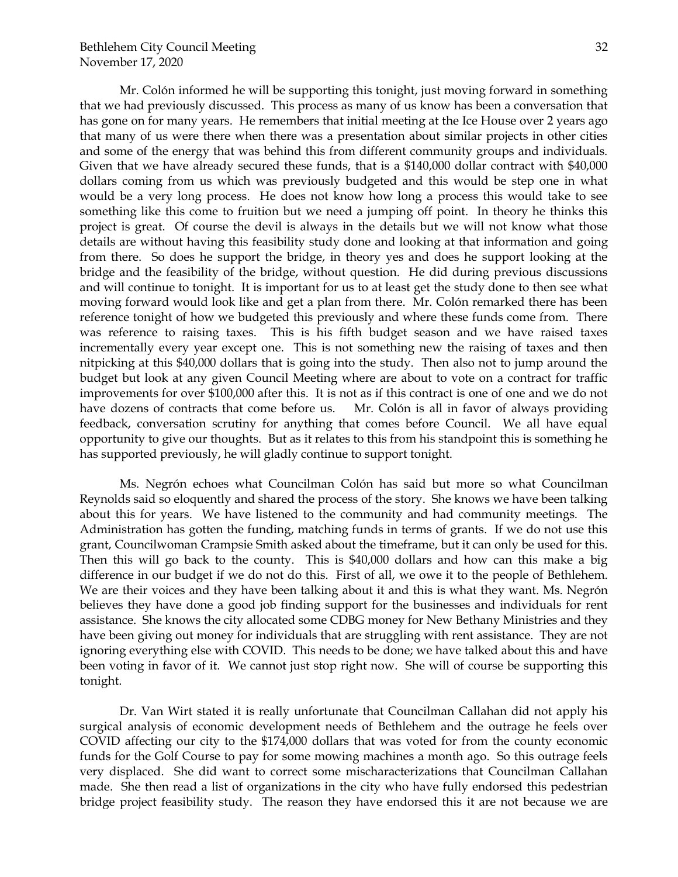Mr. Colón informed he will be supporting this tonight, just moving forward in something that we had previously discussed. This process as many of us know has been a conversation that has gone on for many years. He remembers that initial meeting at the Ice House over 2 years ago that many of us were there when there was a presentation about similar projects in other cities and some of the energy that was behind this from different community groups and individuals. Given that we have already secured these funds, that is a \$140,000 dollar contract with \$40,000 dollars coming from us which was previously budgeted and this would be step one in what would be a very long process. He does not know how long a process this would take to see something like this come to fruition but we need a jumping off point. In theory he thinks this project is great. Of course the devil is always in the details but we will not know what those details are without having this feasibility study done and looking at that information and going from there. So does he support the bridge, in theory yes and does he support looking at the bridge and the feasibility of the bridge, without question. He did during previous discussions and will continue to tonight. It is important for us to at least get the study done to then see what moving forward would look like and get a plan from there. Mr. Colón remarked there has been reference tonight of how we budgeted this previously and where these funds come from. There was reference to raising taxes. This is his fifth budget season and we have raised taxes incrementally every year except one. This is not something new the raising of taxes and then nitpicking at this \$40,000 dollars that is going into the study. Then also not to jump around the budget but look at any given Council Meeting where are about to vote on a contract for traffic improvements for over \$100,000 after this. It is not as if this contract is one of one and we do not have dozens of contracts that come before us. Mr. Colón is all in favor of always providing feedback, conversation scrutiny for anything that comes before Council. We all have equal opportunity to give our thoughts. But as it relates to this from his standpoint this is something he has supported previously, he will gladly continue to support tonight.

Ms. Negrón echoes what Councilman Colón has said but more so what Councilman Reynolds said so eloquently and shared the process of the story. She knows we have been talking about this for years. We have listened to the community and had community meetings. The Administration has gotten the funding, matching funds in terms of grants. If we do not use this grant, Councilwoman Crampsie Smith asked about the timeframe, but it can only be used for this. Then this will go back to the county. This is \$40,000 dollars and how can this make a big difference in our budget if we do not do this. First of all, we owe it to the people of Bethlehem. We are their voices and they have been talking about it and this is what they want. Ms. Negrón believes they have done a good job finding support for the businesses and individuals for rent assistance. She knows the city allocated some CDBG money for New Bethany Ministries and they have been giving out money for individuals that are struggling with rent assistance. They are not ignoring everything else with COVID. This needs to be done; we have talked about this and have been voting in favor of it. We cannot just stop right now. She will of course be supporting this tonight.

Dr. Van Wirt stated it is really unfortunate that Councilman Callahan did not apply his surgical analysis of economic development needs of Bethlehem and the outrage he feels over COVID affecting our city to the \$174,000 dollars that was voted for from the county economic funds for the Golf Course to pay for some mowing machines a month ago. So this outrage feels very displaced. She did want to correct some mischaracterizations that Councilman Callahan made. She then read a list of organizations in the city who have fully endorsed this pedestrian bridge project feasibility study. The reason they have endorsed this it are not because we are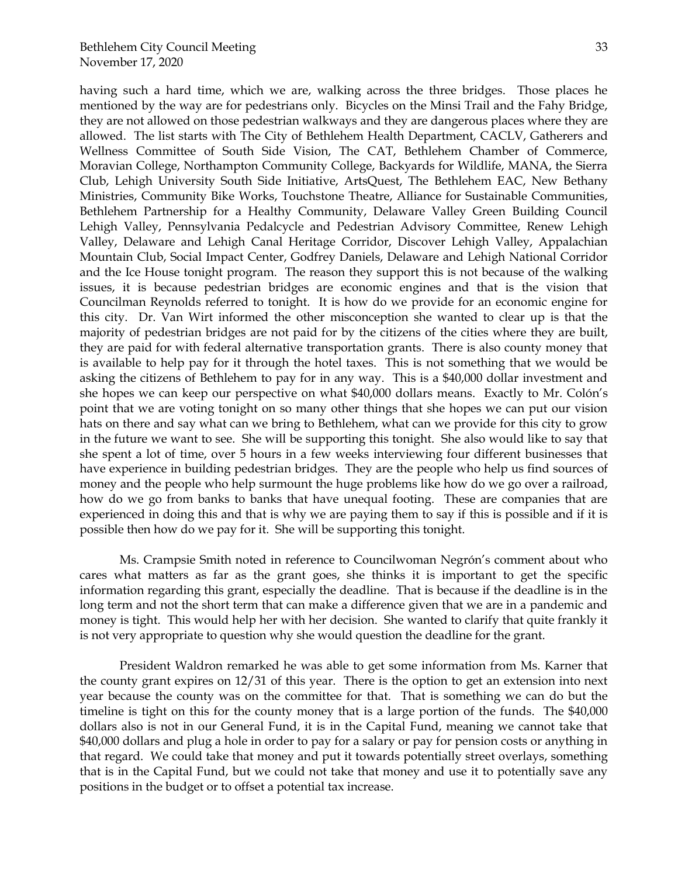33

having such a hard time, which we are, walking across the three bridges. Those places he mentioned by the way are for pedestrians only. Bicycles on the Minsi Trail and the Fahy Bridge, they are not allowed on those pedestrian walkways and they are dangerous places where they are allowed. The list starts with The City of Bethlehem Health Department, CACLV, Gatherers and Wellness Committee of South Side Vision, The CAT, Bethlehem Chamber of Commerce, Moravian College, Northampton Community College, Backyards for Wildlife, MANA, the Sierra Club, Lehigh University South Side Initiative, ArtsQuest, The Bethlehem EAC, New Bethany Ministries, Community Bike Works, Touchstone Theatre, Alliance for Sustainable Communities, Bethlehem Partnership for a Healthy Community, Delaware Valley Green Building Council Lehigh Valley, Pennsylvania Pedalcycle and Pedestrian Advisory Committee, Renew Lehigh Valley, Delaware and Lehigh Canal Heritage Corridor, Discover Lehigh Valley, Appalachian Mountain Club, Social Impact Center, Godfrey Daniels, Delaware and Lehigh National Corridor and the Ice House tonight program. The reason they support this is not because of the walking issues, it is because pedestrian bridges are economic engines and that is the vision that Councilman Reynolds referred to tonight. It is how do we provide for an economic engine for this city. Dr. Van Wirt informed the other misconception she wanted to clear up is that the majority of pedestrian bridges are not paid for by the citizens of the cities where they are built, they are paid for with federal alternative transportation grants. There is also county money that is available to help pay for it through the hotel taxes. This is not something that we would be asking the citizens of Bethlehem to pay for in any way. This is a \$40,000 dollar investment and she hopes we can keep our perspective on what \$40,000 dollars means. Exactly to Mr. Colón's point that we are voting tonight on so many other things that she hopes we can put our vision hats on there and say what can we bring to Bethlehem, what can we provide for this city to grow in the future we want to see. She will be supporting this tonight. She also would like to say that she spent a lot of time, over 5 hours in a few weeks interviewing four different businesses that have experience in building pedestrian bridges. They are the people who help us find sources of money and the people who help surmount the huge problems like how do we go over a railroad, how do we go from banks to banks that have unequal footing. These are companies that are experienced in doing this and that is why we are paying them to say if this is possible and if it is possible then how do we pay for it. She will be supporting this tonight.

Ms. Crampsie Smith noted in reference to Councilwoman Negrón's comment about who cares what matters as far as the grant goes, she thinks it is important to get the specific information regarding this grant, especially the deadline. That is because if the deadline is in the long term and not the short term that can make a difference given that we are in a pandemic and money is tight. This would help her with her decision. She wanted to clarify that quite frankly it is not very appropriate to question why she would question the deadline for the grant.

President Waldron remarked he was able to get some information from Ms. Karner that the county grant expires on 12/31 of this year. There is the option to get an extension into next year because the county was on the committee for that. That is something we can do but the timeline is tight on this for the county money that is a large portion of the funds. The \$40,000 dollars also is not in our General Fund, it is in the Capital Fund, meaning we cannot take that \$40,000 dollars and plug a hole in order to pay for a salary or pay for pension costs or anything in that regard. We could take that money and put it towards potentially street overlays, something that is in the Capital Fund, but we could not take that money and use it to potentially save any positions in the budget or to offset a potential tax increase.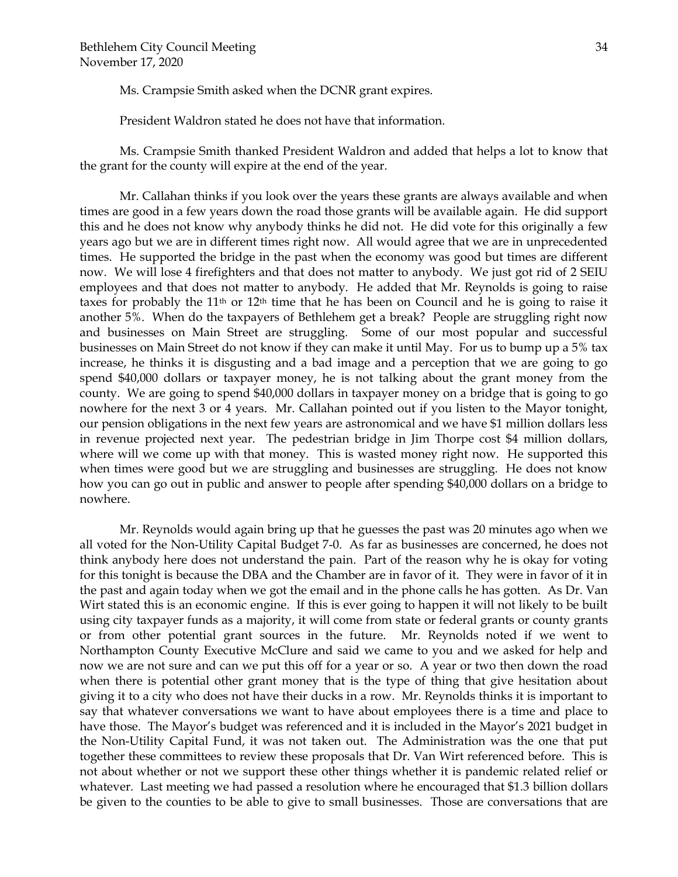Ms. Crampsie Smith asked when the DCNR grant expires.

President Waldron stated he does not have that information.

Ms. Crampsie Smith thanked President Waldron and added that helps a lot to know that the grant for the county will expire at the end of the year.

Mr. Callahan thinks if you look over the years these grants are always available and when times are good in a few years down the road those grants will be available again. He did support this and he does not know why anybody thinks he did not. He did vote for this originally a few years ago but we are in different times right now. All would agree that we are in unprecedented times. He supported the bridge in the past when the economy was good but times are different now. We will lose 4 firefighters and that does not matter to anybody. We just got rid of 2 SEIU employees and that does not matter to anybody. He added that Mr. Reynolds is going to raise taxes for probably the 11<sup>th</sup> or 12<sup>th</sup> time that he has been on Council and he is going to raise it another 5%. When do the taxpayers of Bethlehem get a break? People are struggling right now and businesses on Main Street are struggling. Some of our most popular and successful businesses on Main Street do not know if they can make it until May. For us to bump up a 5% tax increase, he thinks it is disgusting and a bad image and a perception that we are going to go spend \$40,000 dollars or taxpayer money, he is not talking about the grant money from the county. We are going to spend \$40,000 dollars in taxpayer money on a bridge that is going to go nowhere for the next 3 or 4 years. Mr. Callahan pointed out if you listen to the Mayor tonight, our pension obligations in the next few years are astronomical and we have \$1 million dollars less in revenue projected next year. The pedestrian bridge in Jim Thorpe cost \$4 million dollars, where will we come up with that money. This is wasted money right now. He supported this when times were good but we are struggling and businesses are struggling. He does not know how you can go out in public and answer to people after spending \$40,000 dollars on a bridge to nowhere.

Mr. Reynolds would again bring up that he guesses the past was 20 minutes ago when we all voted for the Non-Utility Capital Budget 7-0. As far as businesses are concerned, he does not think anybody here does not understand the pain. Part of the reason why he is okay for voting for this tonight is because the DBA and the Chamber are in favor of it. They were in favor of it in the past and again today when we got the email and in the phone calls he has gotten. As Dr. Van Wirt stated this is an economic engine. If this is ever going to happen it will not likely to be built using city taxpayer funds as a majority, it will come from state or federal grants or county grants or from other potential grant sources in the future. Mr. Reynolds noted if we went to Northampton County Executive McClure and said we came to you and we asked for help and now we are not sure and can we put this off for a year or so. A year or two then down the road when there is potential other grant money that is the type of thing that give hesitation about giving it to a city who does not have their ducks in a row. Mr. Reynolds thinks it is important to say that whatever conversations we want to have about employees there is a time and place to have those. The Mayor's budget was referenced and it is included in the Mayor's 2021 budget in the Non-Utility Capital Fund, it was not taken out. The Administration was the one that put together these committees to review these proposals that Dr. Van Wirt referenced before. This is not about whether or not we support these other things whether it is pandemic related relief or whatever. Last meeting we had passed a resolution where he encouraged that \$1.3 billion dollars be given to the counties to be able to give to small businesses. Those are conversations that are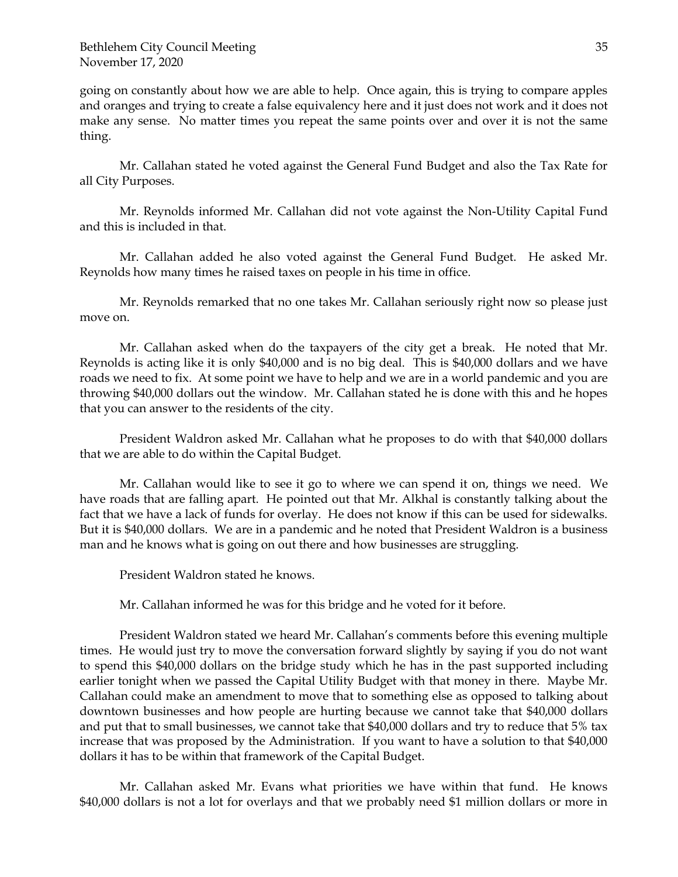going on constantly about how we are able to help. Once again, this is trying to compare apples and oranges and trying to create a false equivalency here and it just does not work and it does not make any sense. No matter times you repeat the same points over and over it is not the same thing.

Mr. Callahan stated he voted against the General Fund Budget and also the Tax Rate for all City Purposes.

Mr. Reynolds informed Mr. Callahan did not vote against the Non-Utility Capital Fund and this is included in that.

Mr. Callahan added he also voted against the General Fund Budget. He asked Mr. Reynolds how many times he raised taxes on people in his time in office.

Mr. Reynolds remarked that no one takes Mr. Callahan seriously right now so please just move on.

Mr. Callahan asked when do the taxpayers of the city get a break. He noted that Mr. Reynolds is acting like it is only \$40,000 and is no big deal. This is \$40,000 dollars and we have roads we need to fix. At some point we have to help and we are in a world pandemic and you are throwing \$40,000 dollars out the window. Mr. Callahan stated he is done with this and he hopes that you can answer to the residents of the city.

President Waldron asked Mr. Callahan what he proposes to do with that \$40,000 dollars that we are able to do within the Capital Budget.

Mr. Callahan would like to see it go to where we can spend it on, things we need. We have roads that are falling apart. He pointed out that Mr. Alkhal is constantly talking about the fact that we have a lack of funds for overlay. He does not know if this can be used for sidewalks. But it is \$40,000 dollars. We are in a pandemic and he noted that President Waldron is a business man and he knows what is going on out there and how businesses are struggling.

President Waldron stated he knows.

Mr. Callahan informed he was for this bridge and he voted for it before.

President Waldron stated we heard Mr. Callahan's comments before this evening multiple times. He would just try to move the conversation forward slightly by saying if you do not want to spend this \$40,000 dollars on the bridge study which he has in the past supported including earlier tonight when we passed the Capital Utility Budget with that money in there. Maybe Mr. Callahan could make an amendment to move that to something else as opposed to talking about downtown businesses and how people are hurting because we cannot take that \$40,000 dollars and put that to small businesses, we cannot take that \$40,000 dollars and try to reduce that 5% tax increase that was proposed by the Administration. If you want to have a solution to that \$40,000 dollars it has to be within that framework of the Capital Budget.

Mr. Callahan asked Mr. Evans what priorities we have within that fund. He knows \$40,000 dollars is not a lot for overlays and that we probably need \$1 million dollars or more in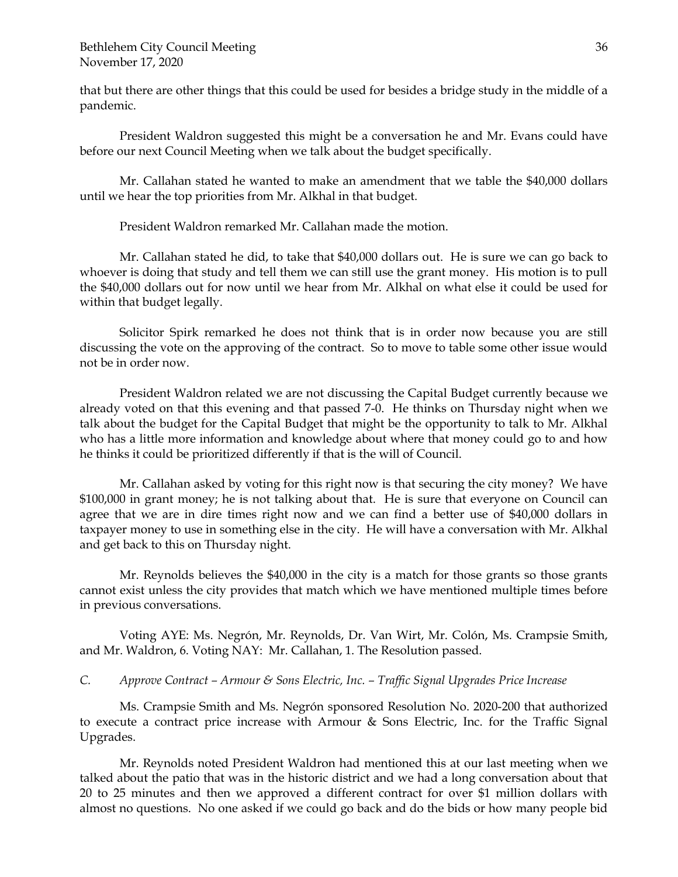that but there are other things that this could be used for besides a bridge study in the middle of a pandemic.

President Waldron suggested this might be a conversation he and Mr. Evans could have before our next Council Meeting when we talk about the budget specifically.

Mr. Callahan stated he wanted to make an amendment that we table the \$40,000 dollars until we hear the top priorities from Mr. Alkhal in that budget.

President Waldron remarked Mr. Callahan made the motion.

Mr. Callahan stated he did, to take that \$40,000 dollars out. He is sure we can go back to whoever is doing that study and tell them we can still use the grant money. His motion is to pull the \$40,000 dollars out for now until we hear from Mr. Alkhal on what else it could be used for within that budget legally.

Solicitor Spirk remarked he does not think that is in order now because you are still discussing the vote on the approving of the contract. So to move to table some other issue would not be in order now.

President Waldron related we are not discussing the Capital Budget currently because we already voted on that this evening and that passed 7-0. He thinks on Thursday night when we talk about the budget for the Capital Budget that might be the opportunity to talk to Mr. Alkhal who has a little more information and knowledge about where that money could go to and how he thinks it could be prioritized differently if that is the will of Council.

Mr. Callahan asked by voting for this right now is that securing the city money? We have \$100,000 in grant money; he is not talking about that. He is sure that everyone on Council can agree that we are in dire times right now and we can find a better use of \$40,000 dollars in taxpayer money to use in something else in the city. He will have a conversation with Mr. Alkhal and get back to this on Thursday night.

Mr. Reynolds believes the \$40,000 in the city is a match for those grants so those grants cannot exist unless the city provides that match which we have mentioned multiple times before in previous conversations.

Voting AYE: Ms. Negrón, Mr. Reynolds, Dr. Van Wirt, Mr. Colón, Ms. Crampsie Smith, and Mr. Waldron, 6. Voting NAY: Mr. Callahan, 1. The Resolution passed.

# *C. Approve Contract – Armour & Sons Electric, Inc. – Traffic Signal Upgrades Price Increase*

Ms. Crampsie Smith and Ms. Negrón sponsored Resolution No. 2020-200 that authorized to execute a contract price increase with Armour & Sons Electric, Inc. for the Traffic Signal Upgrades.

Mr. Reynolds noted President Waldron had mentioned this at our last meeting when we talked about the patio that was in the historic district and we had a long conversation about that 20 to 25 minutes and then we approved a different contract for over \$1 million dollars with almost no questions. No one asked if we could go back and do the bids or how many people bid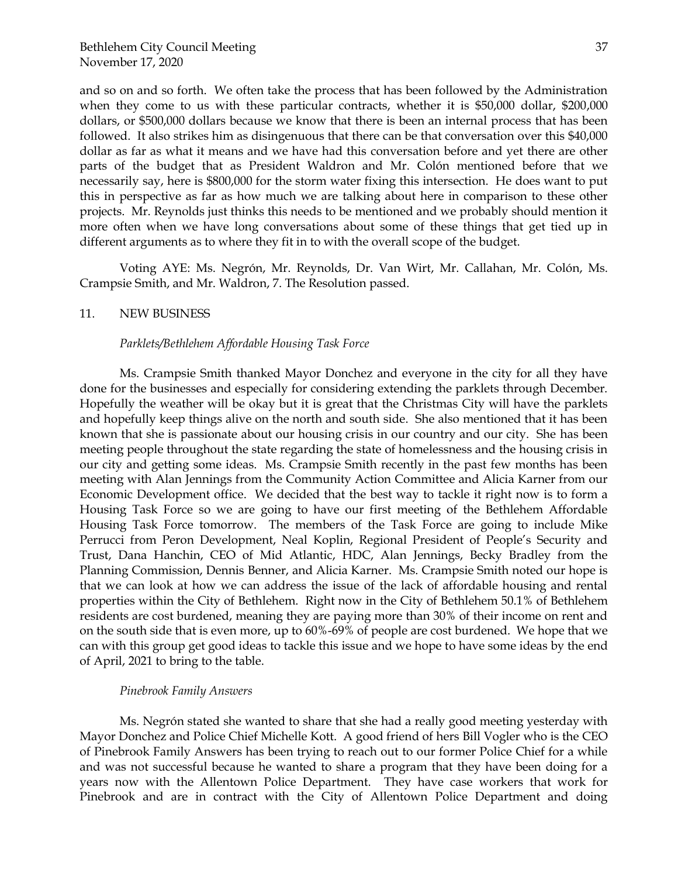and so on and so forth. We often take the process that has been followed by the Administration when they come to us with these particular contracts, whether it is \$50,000 dollar, \$200,000 dollars, or \$500,000 dollars because we know that there is been an internal process that has been followed. It also strikes him as disingenuous that there can be that conversation over this \$40,000 dollar as far as what it means and we have had this conversation before and yet there are other parts of the budget that as President Waldron and Mr. Colón mentioned before that we necessarily say, here is \$800,000 for the storm water fixing this intersection. He does want to put this in perspective as far as how much we are talking about here in comparison to these other projects. Mr. Reynolds just thinks this needs to be mentioned and we probably should mention it more often when we have long conversations about some of these things that get tied up in different arguments as to where they fit in to with the overall scope of the budget.

Voting AYE: Ms. Negrón, Mr. Reynolds, Dr. Van Wirt, Mr. Callahan, Mr. Colón, Ms. Crampsie Smith, and Mr. Waldron, 7. The Resolution passed.

## 11. NEW BUSINESS

#### *Parklets/Bethlehem Affordable Housing Task Force*

Ms. Crampsie Smith thanked Mayor Donchez and everyone in the city for all they have done for the businesses and especially for considering extending the parklets through December. Hopefully the weather will be okay but it is great that the Christmas City will have the parklets and hopefully keep things alive on the north and south side. She also mentioned that it has been known that she is passionate about our housing crisis in our country and our city. She has been meeting people throughout the state regarding the state of homelessness and the housing crisis in our city and getting some ideas. Ms. Crampsie Smith recently in the past few months has been meeting with Alan Jennings from the Community Action Committee and Alicia Karner from our Economic Development office. We decided that the best way to tackle it right now is to form a Housing Task Force so we are going to have our first meeting of the Bethlehem Affordable Housing Task Force tomorrow. The members of the Task Force are going to include Mike Perrucci from Peron Development, Neal Koplin, Regional President of People's Security and Trust, Dana Hanchin, CEO of Mid Atlantic, HDC, Alan Jennings, Becky Bradley from the Planning Commission, Dennis Benner, and Alicia Karner. Ms. Crampsie Smith noted our hope is that we can look at how we can address the issue of the lack of affordable housing and rental properties within the City of Bethlehem. Right now in the City of Bethlehem 50.1% of Bethlehem residents are cost burdened, meaning they are paying more than 30% of their income on rent and on the south side that is even more, up to 60%-69% of people are cost burdened. We hope that we can with this group get good ideas to tackle this issue and we hope to have some ideas by the end of April, 2021 to bring to the table.

#### *Pinebrook Family Answers*

Ms. Negrón stated she wanted to share that she had a really good meeting yesterday with Mayor Donchez and Police Chief Michelle Kott. A good friend of hers Bill Vogler who is the CEO of Pinebrook Family Answers has been trying to reach out to our former Police Chief for a while and was not successful because he wanted to share a program that they have been doing for a years now with the Allentown Police Department. They have case workers that work for Pinebrook and are in contract with the City of Allentown Police Department and doing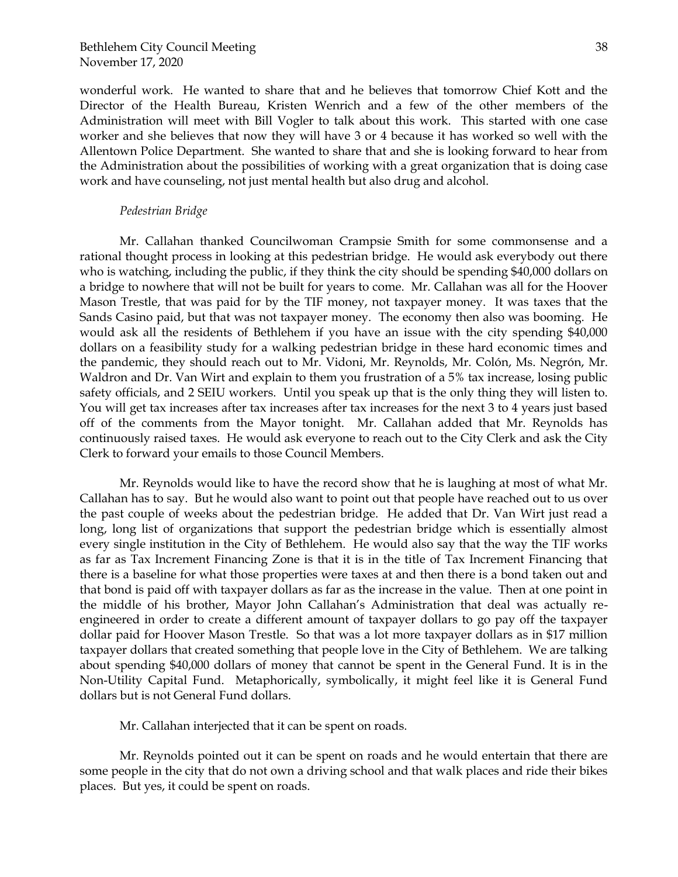wonderful work. He wanted to share that and he believes that tomorrow Chief Kott and the Director of the Health Bureau, Kristen Wenrich and a few of the other members of the Administration will meet with Bill Vogler to talk about this work. This started with one case worker and she believes that now they will have 3 or 4 because it has worked so well with the Allentown Police Department. She wanted to share that and she is looking forward to hear from the Administration about the possibilities of working with a great organization that is doing case work and have counseling, not just mental health but also drug and alcohol.

#### *Pedestrian Bridge*

Mr. Callahan thanked Councilwoman Crampsie Smith for some commonsense and a rational thought process in looking at this pedestrian bridge. He would ask everybody out there who is watching, including the public, if they think the city should be spending \$40,000 dollars on a bridge to nowhere that will not be built for years to come. Mr. Callahan was all for the Hoover Mason Trestle, that was paid for by the TIF money, not taxpayer money. It was taxes that the Sands Casino paid, but that was not taxpayer money. The economy then also was booming. He would ask all the residents of Bethlehem if you have an issue with the city spending \$40,000 dollars on a feasibility study for a walking pedestrian bridge in these hard economic times and the pandemic, they should reach out to Mr. Vidoni, Mr. Reynolds, Mr. Colón, Ms. Negrón, Mr. Waldron and Dr. Van Wirt and explain to them you frustration of a 5% tax increase, losing public safety officials, and 2 SEIU workers. Until you speak up that is the only thing they will listen to. You will get tax increases after tax increases after tax increases for the next 3 to 4 years just based off of the comments from the Mayor tonight. Mr. Callahan added that Mr. Reynolds has continuously raised taxes. He would ask everyone to reach out to the City Clerk and ask the City Clerk to forward your emails to those Council Members.

Mr. Reynolds would like to have the record show that he is laughing at most of what Mr. Callahan has to say. But he would also want to point out that people have reached out to us over the past couple of weeks about the pedestrian bridge. He added that Dr. Van Wirt just read a long, long list of organizations that support the pedestrian bridge which is essentially almost every single institution in the City of Bethlehem. He would also say that the way the TIF works as far as Tax Increment Financing Zone is that it is in the title of Tax Increment Financing that there is a baseline for what those properties were taxes at and then there is a bond taken out and that bond is paid off with taxpayer dollars as far as the increase in the value. Then at one point in the middle of his brother, Mayor John Callahan's Administration that deal was actually reengineered in order to create a different amount of taxpayer dollars to go pay off the taxpayer dollar paid for Hoover Mason Trestle. So that was a lot more taxpayer dollars as in \$17 million taxpayer dollars that created something that people love in the City of Bethlehem. We are talking about spending \$40,000 dollars of money that cannot be spent in the General Fund. It is in the Non-Utility Capital Fund. Metaphorically, symbolically, it might feel like it is General Fund dollars but is not General Fund dollars.

Mr. Callahan interjected that it can be spent on roads.

Mr. Reynolds pointed out it can be spent on roads and he would entertain that there are some people in the city that do not own a driving school and that walk places and ride their bikes places. But yes, it could be spent on roads.